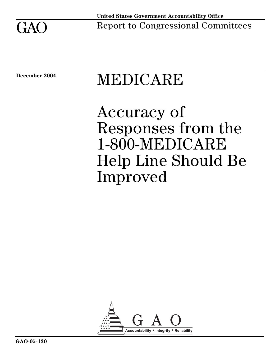

# December 2004 **MEDICARE**

# Accuracy of Responses from the 1-800-MEDICARE Help Line Should Be Improved

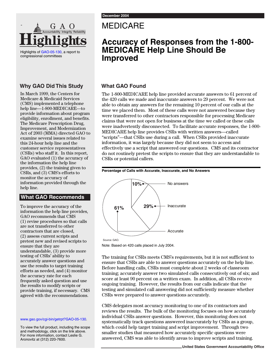## MEDICARE

## **Accuracy of Responses from the 1-800- MEDICARE Help Line Should Be Improved**

#### **Why GAO Did This Study**

Highlights

Highlights of [GAO-05-130,](http://www.gao.gov/cgi-bin/getrpt?GAO-05-130) a report to

congressional committees

-

**Accountability Integrity Reliability**

In March 1999, the Centers for Medicare & Medicaid Services (CMS) implemented a telephone help line—1-800-MEDICARE—to provide information about program eligibility, enrollment, and benefits. The Medicare Prescription Drug, Improvement, and Modernization Act of 2003 (MMA) directed GAO to examine several issues related to this 24-hour help line and the customer service representatives (CSRs) who staff it. In this report, GAO evaluated (1) the accuracy of the information the help line provides, (2) the training given to CSRs, and (3) CMS's efforts to monitor the accuracy of information provided through the help line.

#### **What GAO Recommends**

To improve the accuracy of the information the help line provides, GAO recommends that CMS (1) revise procedures so that calls are not transferred to other contractors that are closed, (2) assess current scripts and pretest new and revised scripts to ensure that they are understandable, (3) provide more testing of CSRs' ability to accurately answer questions and use the results to target training efforts as needed, and (4) monitor the accuracy rate for each frequently asked question and use the results to modify scripts or provide training, if necessary. CMS agreed with the recommendations.

www.gao.gov/cgi-bin/getrpt[?GAO-05-130.](http://www.gao.gov/cgi-bin/getrpt?GAO-05-130)

To view the full product, including the scope and methodology, click on the link above. For more information, contact Leslie G. Aronovitz at (312) 220-7600.

#### **What GAO Found**

The 1-800-MEDICARE help line provided accurate answers to 61 percent of the 420 calls we made and inaccurate answers to 29 percent. We were not able to obtain any answers for the remaining 10 percent of our calls at the time we placed them. Most of these calls were not answered because they were transferred to other contractors responsible for processing Medicare claims that were not open for business at the time we called or these calls were inadvertently disconnected. To facilitate accurate responses, the 1-800- MEDICARE help line provides CSRs with written answers—called "scripts"—that CSRs use during a call. When CSRs provided inaccurate information, it was largely because they did not seem to access and effectively use a script that answered our questions. CMS and its contractor do not routinely pretest the scripts to ensure that they are understandable to CSRs or potential callers.

#### **Percentage of Calls with Accurate, Inaccurate, and No Answers**



Note: Based on 420 calls placed in July 2004.

The training for CSRs meets CMS's requirements, but it is not sufficient to ensure that CSRs are able to answer questions accurately on the help line. Before handling calls, CSRs must complete about 2 weeks of classroom training; accurately answer two simulated calls consecutively out of six; and score at least 90 percent on a written exam. In addition, all CSRs receive ongoing training. However, the results from our calls indicate that the testing and simulated call answering did not sufficiently measure whether CSRs were prepared to answer questions accurately.

CMS delegates most accuracy monitoring to one of its contractors and reviews the results. The bulk of the monitoring focuses on how accurately individual CSRs answer questions. However, this monitoring does not systematically track questions answered inaccurately by CSRs as a group, which could help target training and script improvement. Through two smaller studies that measured how accurately specific questions were answered, CMS was able to identify areas to improve scripts and training.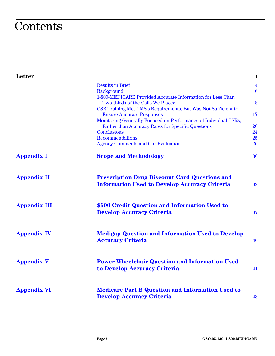## **Contents**

| Letter              |                                                                                                     | $\mathbf{1}$            |
|---------------------|-----------------------------------------------------------------------------------------------------|-------------------------|
|                     | <b>Results in Brief</b>                                                                             | $\overline{\mathbf{4}}$ |
|                     | <b>Background</b>                                                                                   | $6\phantom{1}6$         |
|                     | 1-800-MEDICARE Provided Accurate Information for Less Than                                          |                         |
|                     | Two-thirds of the Calls We Placed                                                                   | 8                       |
|                     | CSR Training Met CMS's Requirements, But Was Not Sufficient to                                      | 17                      |
|                     | <b>Ensure Accurate Responses</b><br>Monitoring Generally Focused on Performance of Individual CSRs, |                         |
|                     | Rather than Accuracy Rates for Specific Questions                                                   | <b>20</b>               |
|                     | <b>Conclusions</b>                                                                                  | 24                      |
|                     | <b>Recommendations</b>                                                                              | 25                      |
|                     | <b>Agency Comments and Our Evaluation</b>                                                           | 26                      |
| <b>Appendix I</b>   | <b>Scope and Methodology</b>                                                                        | 30                      |
| <b>Appendix II</b>  | <b>Prescription Drug Discount Card Questions and</b>                                                |                         |
|                     | <b>Information Used to Develop Accuracy Criteria</b>                                                | 32                      |
| <b>Appendix III</b> | \$600 Credit Question and Information Used to                                                       |                         |
|                     | <b>Develop Accuracy Criteria</b>                                                                    | 37                      |
| <b>Appendix IV</b>  | <b>Medigap Question and Information Used to Develop</b>                                             |                         |
|                     | <b>Accuracy Criteria</b>                                                                            | 40                      |
| <b>Appendix V</b>   | <b>Power Wheelchair Question and Information Used</b>                                               |                         |
|                     | to Develop Accuracy Criteria                                                                        | 41                      |
| <b>Appendix VI</b>  | <b>Medicare Part B Question and Information Used to</b>                                             |                         |
|                     | <b>Develop Accuracy Criteria</b>                                                                    | 43                      |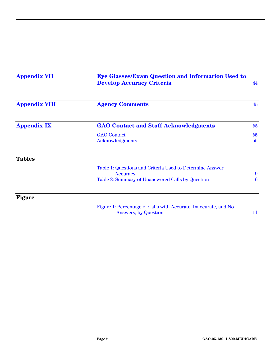| <b>Appendix VII</b>  | <b>Eye Glasses/Exam Question and Information Used to</b><br><b>Develop Accuracy Criteria</b>                             | 44       |
|----------------------|--------------------------------------------------------------------------------------------------------------------------|----------|
| <b>Appendix VIII</b> | <b>Agency Comments</b>                                                                                                   |          |
| <b>Appendix IX</b>   | <b>GAO Contact and Staff Acknowledgments</b>                                                                             | 55       |
|                      | <b>GAO</b> Contact<br>Acknowledgments                                                                                    | 55<br>55 |
| <b>Tables</b>        |                                                                                                                          |          |
|                      | Table 1: Questions and Criteria Used to Determine Answer<br>Accuracy<br>Table 2: Summary of Unanswered Calls by Question | 9<br>16  |
| <b>Figure</b>        |                                                                                                                          |          |
|                      | Figure 1: Percentage of Calls with Accurate, Inaccurate, and No<br><b>Answers, by Question</b>                           | 11       |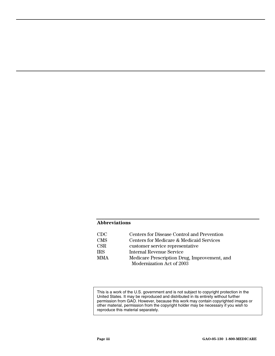#### **Abbreviations**

| CDC.       | Centers for Disease Control and Prevention   |
|------------|----------------------------------------------|
| <b>CMS</b> | Centers for Medicare & Medicaid Services     |
| <b>CSR</b> | customer service representative              |
| <b>IRS</b> | Internal Revenue Service                     |
| <b>MMA</b> | Medicare Prescription Drug, Improvement, and |
|            | Modernization Act of 2003                    |

This is a work of the U.S. government and is not subject to copyright protection in the United States. It may be reproduced and distributed in its entirety without further permission from GAO. However, because this work may contain copyrighted images or other material, permission from the copyright holder may be necessary if you wish to reproduce this material separately.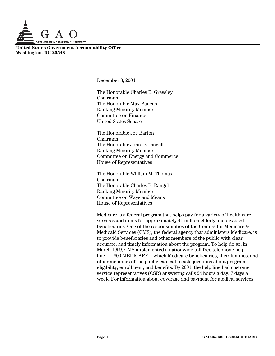

**United States Government Accountability Office Washington, DC 20548** 

December 8, 2004

The Honorable Charles E. Grassley Chairman The Honorable Max Baucus Ranking Minority Member Committee on Finance United States Senate

The Honorable Joe Barton Chairman The Honorable John D. Dingell Ranking Minority Member Committee on Energy and Commerce House of Representatives

The Honorable William M. Thomas Chairman The Honorable Charles B. Rangel Ranking Minority Member Committee on Ways and Means House of Representatives

Medicare is a federal program that helps pay for a variety of health care services and items for approximately 41 million elderly and disabled beneficiaries. One of the responsibilities of the Centers for Medicare & Medicaid Services (CMS), the federal agency that administers Medicare, is to provide beneficiaries and other members of the public with clear, accurate, and timely information about the program. To help do so, in March 1999, CMS implemented a nationwide toll-free telephone help line—1-800-MEDICARE—which Medicare beneficiaries, their families, and other members of the public can call to ask questions about program eligibility, enrollment, and benefits. By 2001, the help line had customer service representatives (CSR) answering calls 24 hours a day, 7 days a week. For information about coverage and payment for medical services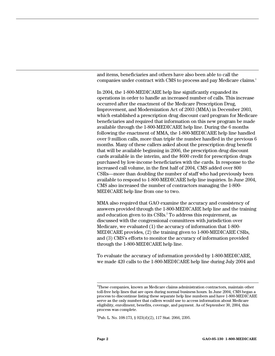and items, beneficiaries and others have also been able to call the companies under contract with CMS to process and pay Medicare claims.<sup>[1](#page-6-0)</sup>

In 2004, the 1-800-MEDICARE help line significantly expanded its operations in order to handle an increased number of calls. This increase occurred after the enactment of the Medicare Prescription Drug, Improvement, and Modernization Act of 2003 (MMA) in December 2003, which established a prescription drug discount card program for Medicare beneficiaries and required that information on this new program be made available through the 1-800-MEDICARE help line. During the 6 months following the enactment of MMA, the 1-800-MEDICARE help line handled over 9 million calls, more than triple the number handled in the previous 6 months. Many of these callers asked about the prescription drug benefit that will be available beginning in 2006, the prescription drug discount cards available in the interim, and the \$600 credit for prescription drugs purchased by low-income beneficiaries with the cards. In response to the increased call volume, in the first half of 2004, CMS added over 800 CSRs—more than doubling the number of staff who had previously been available to respond to 1-800-MEDICARE help line inquiries. In June 2004, CMS also increased the number of contractors managing the 1-800- MEDICARE help line from one to two.

MMA also required that GAO examine the accuracy and consistency of answers provided through the 1-800-MEDICARE help line and the training andeducation given to its CSRs.<sup>2</sup> To address this requirement, as discussed with the congressional committees with jurisdiction over Medicare, we evaluated (1) the accuracy of information that 1-800- MEDICARE provides, (2) the training given to 1-800-MEDICARE CSRs, and (3) CMS's efforts to monitor the accuracy of information provided through the 1-800-MEDICARE help line.

To evaluate the accuracy of information provided by 1-800-MEDICARE, we made 420 calls to the 1-800-MEDICARE help line during July 2004 and

<span id="page-6-0"></span> $\frac{1}{1}$ <sup>1</sup>These companies, known as Medicare claims administration contractors, maintain other toll-free help lines that are open during normal business hours. In June 2004, CMS began a process to discontinue listing these separate help line numbers and have 1-800-MEDICARE serve as the only number that callers would use to access information about Medicare eligibility, enrollment, benefits, coverage, and payment. As of September 30, 2004, this process was complete.

<span id="page-6-1"></span><sup>2</sup> Pub. L. No. 108-173, § 923(d)(2), 117 Stat. 2066, 2395.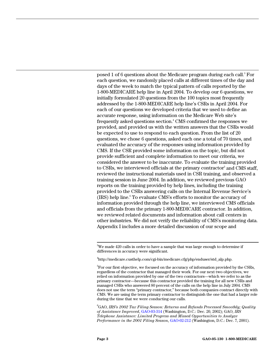posed1 of 6 questions about the Medicare program during each call.<sup>3</sup> For each question, we randomly placed calls at different times of the day and days of the week to match the typical pattern of calls reported by the 1-800-MEDICARE help line in April 2004. To develop our 6 questions, we initially formulated 20 questions from the 100 topics most frequently addressed by the 1-800-MEDICARE help line's CSRs in April 2004. For each of our questions we developed criteria that we used to define an accurate response, using information on the Medicare Web site's frequently asked questions section.<sup>[4](#page-7-1)</sup> CMS confirmed the responses we provided, and provided us with the written answers that the CSRs would be expected to use to respond to each question. From the list of 20 questions, we chose 6 questions, asked each one a total of 70 times, and evaluated the accuracy of the responses using information provided by CMS. If the CSR provided some information on the topic, but did not provide sufficient and complete information to meet our criteria, we considered the answer to be inaccurate. To evaluate the training provided to CSRs, we interviewed officials at the primary contractor<sup>[5](#page-7-2)</sup> and CMS staff, reviewed the instructional materials used in CSR training, and observed a training session in June 2004. In addition, we reviewed previous GAO reports on the training provided by help lines, including the training provided to the CSRs answering calls on the Internal Revenue Service's (IRS)help line.<sup>6</sup> To evaluate CMS's efforts to monitor the accuracy of information provided through the help line, we interviewed CMS officials and officials from the primary 1-800-MEDICARE contractor. In addition, we reviewed related documents and information about call centers in other industries. We did not verify the reliability of CMS's monitoring data. Appendix I includes a more detailed discussion of our scope and

<span id="page-7-3"></span>6 GAO, *IRS's 2002 Tax Filing Season: Returns and Refunds Processed Smoothly; Quality of Assistance Improved*[, GAO-03-314 \(W](http://www.gao.gov/cgi-bin/getrpt?GAO-03-314)ashington, D.C.: Dec. 20, 2002); GAO, *IRS Telephone Assistance: Limited Progress and Missed Opportunities to Analyze Performance in the 2001 Filing Season*, [GAO-02-212](http://www.gao.gov/cgi-bin/getrpt?GAO-02-212) (Washington, D.C.: Dec. 7, 2001).

<span id="page-7-0"></span> <sup>3</sup>  ${}^{3}\text{We}$  made 420 calls in order to have a sample that was large enough to determine if differences in accuracy were significant.

<span id="page-7-1"></span><sup>4</sup> http://medicare.custhelp.com/cgi-bin/medicare.cfg/php/enduser/std\_alp.php.

<span id="page-7-2"></span> $^5$ For our first objective, we focused on the accuracy of information provided by the CSRs, regardless of the contractor that managed their work. For our next two objectives, we relied on information provided by one of the two contractors—which we refer to as the primary contractor—because this contractor provided the training for all new CSRs and managed CSRs who answered 80 percent of the calls on the help line in July 2004. CMS does not use the term "primary contractor," because both companies contract directly with CMS. We are using the term primary contractor to distinguish the one that had a larger role during the time that we were conducting our calls.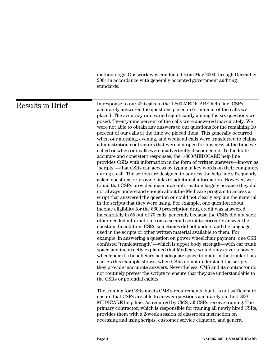methodology. Our work was conducted from May 2004 through December 2004 in accordance with generally accepted government auditing standards.

<span id="page-8-0"></span>

| Results in Brief | In response to our 420 calls to the 1-800-MEDICARE help line, CSRs<br>accurately answered the questions posed in 61 percent of the calls we<br>placed. The accuracy rate varied significantly among the six questions we<br>posed. Twenty-nine percent of the calls were answered inaccurately. We<br>were not able to obtain any answers to our questions for the remaining 10<br>percent of our calls at the time we placed them. This generally occurred<br>when our morning, evening, and weekend calls were transferred to claims<br>administration contractors that were not open for business at the time we<br>called or when our calls were inadvertently disconnected. To facilitate<br>accurate and consistent responses, the 1-800-MEDICARE help line<br>provides CSRs with information in the form of written answers-known as<br>"scripts"—that CSRs can access by typing in key words on their computers<br>during a call. The scripts are designed to address the help line's frequently<br>asked questions or provide links to additional information. However, we<br>found that CSRs provided inaccurate information largely because they did<br>not always understand enough about the Medicare program to access a<br>script that answered the question or could not clearly explain the material<br>in the scripts that they were using. For example, one question about<br>income eligibility for the \$600 prescription drug credit was answered<br>inaccurately in 55 out of 70 calls, generally because the CSRs did not seek<br>other needed information from a second script to correctly answer the<br>question. In addition, CSRs sometimes did not understand the language<br>used in the scripts or other written material available to them. For<br>example, in answering a question on power wheelchair payment, one CSR<br>confused "trunk strength"—which is upper body strength—with car trunk<br>space and incorrectly explained that Medicare would only cover a power<br>wheelchair if a beneficiary had adequate space to put it in the trunk of his<br>car. As this example shows, when CSRs do not understand the scripts,<br>they provide inaccurate answers. Nevertheless, CMS and its contractor do<br>not routinely pretest the scripts to ensure that they are understandable to<br>the CSRs or potential callers. |
|------------------|-------------------------------------------------------------------------------------------------------------------------------------------------------------------------------------------------------------------------------------------------------------------------------------------------------------------------------------------------------------------------------------------------------------------------------------------------------------------------------------------------------------------------------------------------------------------------------------------------------------------------------------------------------------------------------------------------------------------------------------------------------------------------------------------------------------------------------------------------------------------------------------------------------------------------------------------------------------------------------------------------------------------------------------------------------------------------------------------------------------------------------------------------------------------------------------------------------------------------------------------------------------------------------------------------------------------------------------------------------------------------------------------------------------------------------------------------------------------------------------------------------------------------------------------------------------------------------------------------------------------------------------------------------------------------------------------------------------------------------------------------------------------------------------------------------------------------------------------------------------------------------------------------------------------------------------------------------------------------------------------------------------------------------------------------------------------------------------------------------------------------------------------------------------------------------------------------------------------------------------------------------------------------------------------------------------------------------------------------------------------|
|                  | The training for CSRs meets CMS's requirements, but it is not sufficient to<br>ensure that CSRs are able to answer questions accurately on the 1-800-                                                                                                                                                                                                                                                                                                                                                                                                                                                                                                                                                                                                                                                                                                                                                                                                                                                                                                                                                                                                                                                                                                                                                                                                                                                                                                                                                                                                                                                                                                                                                                                                                                                                                                                                                                                                                                                                                                                                                                                                                                                                                                                                                                                                             |

ensure that CSRs are able to answer questions accurately on the 1-800- MEDICARE help line. As required by CMS, all CSRs receive training. The primary contractor, which is responsible for training all newly hired CSRs, provides them with a 2-week session of classroom instruction on accessing and using scripts, customer service etiquette, and general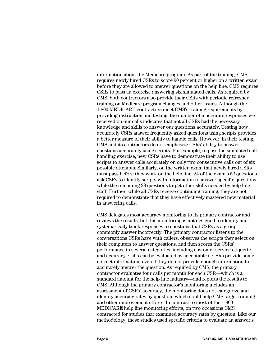information about the Medicare program. As part of the training, CMS requires newly hired CSRs to score 90 percent or higher on a written exam before they are allowed to answer questions on the help line. CMS requires CSRs to pass an exercise answering six simulated calls. As required by CMS, both contractors also provide their CSRs with periodic refresher training on Medicare program changes and other issues. Although the 1-800-MEDICARE contractors meet CMS's training requirements by providing instruction and testing, the number of inaccurate responses we received on our calls indicates that not all CSRs had the necessary knowledge and skills to answer our questions accurately. Testing how accurately CSRs answer frequently asked questions using scripts provides a better measure of their ability to handle calls. However, in their testing, CMS and its contractors do not emphasize CSRs' ability to answer questions accurately using scripts. For example, to pass the simulated call handling exercise, new CSRs have to demonstrate their ability to use scripts to answer calls accurately on only two consecutive calls out of six possible attempts. Similarly, on the written exam that newly hired CSRs must pass before they work on the help line, 24 of the exam's 52 questions ask CSRs to identify scripts with information to answer specific questions while the remaining 28 questions target other skills needed by help line staff. Further, while all CSRs receive continuing training, they are not required to demonstrate that they have effectively mastered new material in answering calls.

CMS delegates most accuracy monitoring to its primary contractor and reviews the results, but this monitoring is not designed to identify and systematically track responses to questions that CSRs as a group commonly answer incorrectly. The primary contractor listens to the conversations CSRs have with callers, observes the scripts they select on their computers to answer questions, and then scores the CSRs' performance in several categories, including customer service etiquette and accuracy. Calls can be evaluated as acceptable if CSRs provide some correct information, even if they do not provide enough information to accurately answer the question. As required by CMS, the primary contractor evaluates four calls per month for each CSR—which is a standard amount for the help line industry—and reports the results to CMS. Although the primary contractor's monitoring includes an assessment of CSRs' accuracy, the monitoring does not categorize and identify accuracy rates by question, which could help CMS target training and other improvement efforts. In contrast to most of the 1-800- MEDICARE help line monitoring efforts, on two occasions CMS contracted for studies that examined accuracy rates by question. Like our methodology, these studies used specific criteria to evaluate an answer's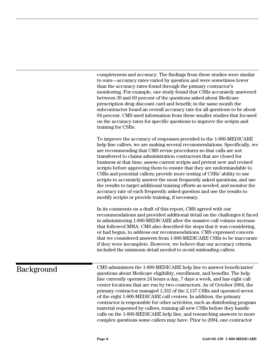completeness and accuracy. The findings from these studies were similar to ours—accuracy rates varied by question and were sometimes lower than the accuracy rates found through the primary contractor's monitoring. For example, one study found that CSRs accurately answered between 39 and 69 percent of the questions asked about Medicare prescription drug discount card and benefit; in the same month the subcontractor found an overall accuracy rate for all questions to be about 94 percent. CMS used information from these smaller studies that focused on the accuracy rates for specific questions to improve the scripts and training for CSRs.

To improve the accuracy of responses provided to the 1-800-MEDICARE help line callers, we are making several recommendations. Specifically, we are recommending that CMS revise procedures so that calls are not transferred to claims administration contractors that are closed for business at that time; assess current scripts and pretest new and revised scripts before approving them to ensure that they are understandable to CSRs and potential callers; provide more testing of CSRs' ability to use scripts to accurately answer the most frequently asked questions, and use the results to target additional training efforts as needed; and monitor the accuracy rate of each frequently asked question and use the results to modify scripts or provide training, if necessary.

In its comments on a draft of this report, CMS agreed with our recommendations and provided additional detail on the challenges it faced in administering 1-800-MEDICARE after the massive call volume increase that followed MMA. CMS also described the steps that it was considering, or had begun, to address our recommendations. CMS expressed concern that we considered answers from 1-800-MEDICARE CSRs to be inaccurate if they were incomplete. However, we believe that our accuracy criteria included the minimum detail needed to avoid misleading callers.

## <span id="page-10-0"></span>Background

CMS administers the 1-800-MEDICARE help line to answer beneficiaries' questions about Medicare eligibility, enrollment, and benefits. The help line currently operates 24 hours a day, 7 days a week, and has eight call center locations that are run by two contractors. As of October 2004, the primary contractor managed 1,332 of the 2,137 CSRs and operated seven of the eight 1-800-MEDICARE call centers. In addition, the primary contractor is responsible for other activities, such as distributing program material requested by callers, training all new CSRs before they handle calls on the 1-800-MEDICARE help line, and researching answers to more complex questions some callers may have. Prior to 2004, one contractor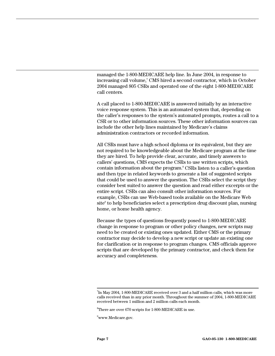managed the 1-800-MEDICARE help line. In June 2004, in response to increasing call volume,<sup>7</sup> CMS hired a second contractor, which in October 2004 managed 805 CSRs and operated one of the eight 1-800-MEDICARE call centers.

A call placed to 1-800-MEDICARE is answered initially by an interactive voice response system. This is an automated system that, depending on the caller's responses to the system's automated prompts, routes a call to a CSR or to other information sources. These other information sources can include the other help lines maintained by Medicare's claims administration contractors or recorded information.

All CSRs must have a high school diploma or its equivalent, but they are not required to be knowledgeable about the Medicare program at the time they are hired. To help provide clear, accurate, and timely answers to callers' questions, CMS expects the CSRs to use written scripts, which contain information about the program.<sup>8</sup> [C](#page-11-1)SRs listen to a caller's question and then type in related keywords to generate a list of suggested scripts that could be used to answer the question. The CSRs select the script they consider best suited to answer the question and read either excerpts or the entire script. CSRs can also consult other information sources. For example, CSRs can use Web-based tools available on the Medicare Web site<sup>9</sup> to help beneficiaries select a prescription drug discount plan, nursing home, or home health agency.

Because the types of questions frequently posed to 1-800-MEDICARE change in response to program or other policy changes, new scripts may need to be created or existing ones updated. Either CMS or the primary contractor may decide to develop a new script or update an existing one for clarification or in response to program changes. CMS officials approve scripts that are developed by the primary contractor, and check them for accuracy and completeness.

<span id="page-11-0"></span><sup>-&</sup>lt;br>7  $17$ In May 2004, 1-800-MEDICARE received over 3 and a half million calls, which was more calls received than in any prior month. Throughout the summer of 2004, 1-800-MEDICARE received between 1 million and 2 million calls each month.

<span id="page-11-1"></span> ${}^{8}$ There are over 670 scripts for 1-800-MEDICARE in use.

<span id="page-11-2"></span><sup>9</sup> www.Medicare.gov.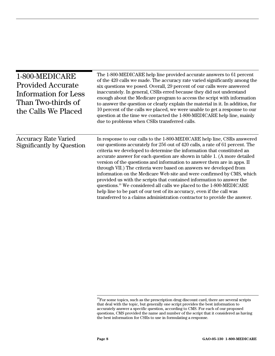<span id="page-12-0"></span>

| 1-800-MEDICARE<br><b>Provided Accurate</b><br>Information for Less<br>Than Two-thirds of<br>the Calls We Placed | The 1-800-MEDICARE help line provided accurate answers to 61 percent<br>of the 420 calls we made. The accuracy rate varied significantly among the<br>six questions we posed. Overall, 29 percent of our calls were answered<br>inaccurately. In general, CSRs erred because they did not understand<br>enough about the Medicare program to access the script with information<br>to answer the question or clearly explain the material in it. In addition, for<br>10 percent of the calls we placed, we were unable to get a response to our<br>question at the time we contacted the 1-800-MEDICARE help line, mainly<br>due to problems when CSRs transferred calls.                                                                                                                                                                                  |
|-----------------------------------------------------------------------------------------------------------------|------------------------------------------------------------------------------------------------------------------------------------------------------------------------------------------------------------------------------------------------------------------------------------------------------------------------------------------------------------------------------------------------------------------------------------------------------------------------------------------------------------------------------------------------------------------------------------------------------------------------------------------------------------------------------------------------------------------------------------------------------------------------------------------------------------------------------------------------------------|
| <b>Accuracy Rate Varied</b><br>Significantly by Question                                                        | In response to our calls to the 1-800-MEDICARE help line, CSRs answered<br>our questions accurately for 256 out of 420 calls, a rate of 61 percent. The<br>criteria we developed to determine the information that constituted an<br>accurate answer for each question are shown in table 1. (A more detailed<br>version of the questions and information to answer them are in apps. II<br>through VII.) The criteria were based on answers we developed from<br>information on the Medicare Web site and were confirmed by CMS, which<br>provided us with the scripts that contained information to answer the<br>questions. <sup>10</sup> We considered all calls we placed to the 1-800-MEDICARE<br>help line to be part of our test of its accuracy, even if the call was<br>transferred to a claims administration contractor to provide the answer. |

<span id="page-12-1"></span> $^{10}\!$  For some topics, such as the prescription drug discount card, there are several scripts that deal with the topic, but generally one script provides the best information to accurately answer a specific question, according to CMS. For each of our proposed questions, CMS provided the name and number of the script that it considered as having the best information for CSRs to use in formulating a response.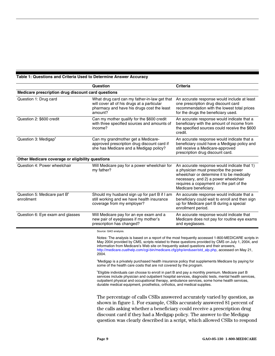#### <span id="page-13-0"></span>**Table 1: Questions and Criteria Used to Determine Answer Accuracy**

|                                                        | Question                                                                                                                                                                                                                                                                                                                                                                             | <b>Criteria</b>                                                                                                                                                                                                                                                                                           |  |  |
|--------------------------------------------------------|--------------------------------------------------------------------------------------------------------------------------------------------------------------------------------------------------------------------------------------------------------------------------------------------------------------------------------------------------------------------------------------|-----------------------------------------------------------------------------------------------------------------------------------------------------------------------------------------------------------------------------------------------------------------------------------------------------------|--|--|
| Medicare prescription drug discount card questions     |                                                                                                                                                                                                                                                                                                                                                                                      |                                                                                                                                                                                                                                                                                                           |  |  |
| Question 1: Drug card                                  | What drug card can my father-in-law get that<br>will cover all of his drugs at a particular<br>pharmacy and have his drugs cost the least<br>amount?                                                                                                                                                                                                                                 | An accurate response would include at least<br>one prescription drug discount card<br>recommendation with the lowest total prices<br>for the drugs the beneficiary used.                                                                                                                                  |  |  |
| Question 2: \$600 credit                               | Can my mother qualify for the \$600 credit<br>with three specified sources and amounts of<br>income?                                                                                                                                                                                                                                                                                 | An accurate response would indicate that a<br>beneficiary with the amount of income from<br>the specified sources could receive the \$600<br>credit.                                                                                                                                                      |  |  |
| Question 3: Medigap <sup>®</sup>                       | Can my grandmother get a Medicare-<br>approved prescription drug discount card if<br>she has Medicare and a Medigap policy?                                                                                                                                                                                                                                                          | An accurate response would indicate that a<br>beneficiary could have a Medigap policy and<br>still receive a Medicare-approved<br>prescription drug discount card.                                                                                                                                        |  |  |
| Other Medicare coverage or eligibility questions       |                                                                                                                                                                                                                                                                                                                                                                                      |                                                                                                                                                                                                                                                                                                           |  |  |
| Question 4: Power wheelchair                           | Will Medicare pay for a power wheelchair for<br>my father?                                                                                                                                                                                                                                                                                                                           | An accurate response would indicate that 1)<br>a physician must prescribe the power<br>wheelchair or determine it to be medically<br>necessary, and 2) a power wheelchair<br>requires a copayment on the part of the<br>Medicare beneficiary.                                                             |  |  |
| Question 5: Medicare part B <sup>b</sup><br>enrollment | Should my husband sign up for part B if I am<br>still working and we have health insurance<br>coverage from my employer?                                                                                                                                                                                                                                                             | An accurate response would indicate that a<br>beneficiary could wait to enroll and then sign<br>up for Medicare part B during a special<br>enrollment period.                                                                                                                                             |  |  |
| Question 6: Eye exam and glasses                       | Will Medicare pay for an eye exam and a<br>new pair of eyeglasses if my mother's<br>prescription has changed?                                                                                                                                                                                                                                                                        | An accurate response would indicate that<br>Medicare does not pay for routine eye exams<br>and eyeglasses.                                                                                                                                                                                                |  |  |
|                                                        | Source: GAO analysis.                                                                                                                                                                                                                                                                                                                                                                |                                                                                                                                                                                                                                                                                                           |  |  |
|                                                        | information from Medicare's Web site on frequently asked questions and their answers,<br>2004.                                                                                                                                                                                                                                                                                       | Notes: The analysis is based on a report of the most frequently accessed 1-800-MEDICARE scripts in<br>May 2004 provided by CMS, scripts related to these questions provided by CMS on July 1, 2004, and<br>http://medicare.custhelp.com/cgi-bin/medicare.cfg/php/enduser/std_alp.php, accessed on May 21, |  |  |
|                                                        | <sup>a</sup> Medigap is a privately purchased health insurance policy that supplements Medicare by paying for<br>some of the health care costs that are not covered by the program.                                                                                                                                                                                                  |                                                                                                                                                                                                                                                                                                           |  |  |
|                                                        | Eligible individuals can choose to enroll in part B and pay a monthly premium. Medicare part B<br>services include physician and outpatient hospital services, diagnostic tests, mental health services,<br>outpatient physical and occupational therapy, ambulance services, some home health services,<br>durable medical equipment, prosthetics, orthotics, and medical supplies. |                                                                                                                                                                                                                                                                                                           |  |  |
|                                                        | The percentage of calls CSRs answered accurately varied by question, as<br>shown in figure 1. For example, CSRs accurately answered 81 percent of                                                                                                                                                                                                                                    |                                                                                                                                                                                                                                                                                                           |  |  |
|                                                        |                                                                                                                                                                                                                                                                                                                                                                                      | the calls asking whether a beneficiary could receive a prescription drug                                                                                                                                                                                                                                  |  |  |
|                                                        | discount card if they had a Medigap policy. The answer to the Medigap                                                                                                                                                                                                                                                                                                                |                                                                                                                                                                                                                                                                                                           |  |  |

question was clearly described in a script, which allowed CSRs to respond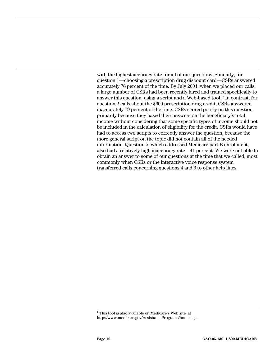with the highest accuracy rate for all of our questions. Similarly, for question 1—choosing a prescription drug discount card—CSRs answered accurately 76 percent of the time. By July 2004, when we placed our calls, a large number of CSRs had been recently hired and trained specifically to answer this question, using a script and a Web-based tool.[11 I](#page-14-0)n contrast, for question 2 calls about the \$600 prescription drug credit, CSRs answered inaccurately 79 percent of the time. CSRs scored poorly on this question primarily because they based their answers on the beneficiary's total income without considering that some specific types of income should not be included in the calculation of eligibility for the credit. CSRs would have had to access two scripts to correctly answer the question, because the more general script on the topic did not contain all of the needed information. Question 5, which addressed Medicare part B enrollment, also had a relatively high inaccuracy rate—41 percent. We were not able to obtain an answer to some of our questions at the time that we called, most commonly when CSRs or the interactive voice response system transferred calls concerning questions 4 and 6 to other help lines.

<span id="page-14-0"></span><sup>&</sup>lt;sup>11</sup>This tool is also available on Medicare's Web site, at http://www.medicare.gov/AssistancePrograms/home.asp.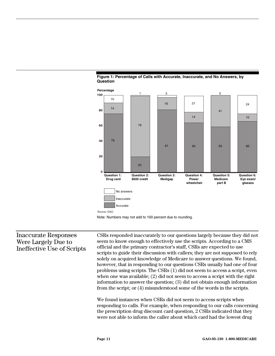

<span id="page-15-0"></span>**Figure 1: Percentage of Calls with Accurate, Inaccurate, and No Answers, by** 



Note: Numbers may not add to 100 percent due to rounding.

#### Inaccurate Responses Were Largely Due to Ineffective Use of Scripts

CSRs responded inaccurately to our questions largely because they did not seem to know enough to effectively use the scripts. According to a CMS official and the primary contractor's staff, CSRs are expected to use scripts to guide their discussion with callers; they are not supposed to rely solely on acquired knowledge of Medicare to answer questions. We found, however, that in responding to our questions CSRs usually had one of four problems using scripts. The CSRs (1) did not seem to access a script, even when one was available; (2) did not seem to access a script with the right information to answer the question; (3) did not obtain enough information from the script; or (4) misunderstood some of the words in the scripts.

We found instances when CSRs did not seem to access scripts when responding to calls. For example, when responding to our calls concerning the prescription drug discount card question, 2 CSRs indicated that they were not able to inform the caller about which card had the lowest drug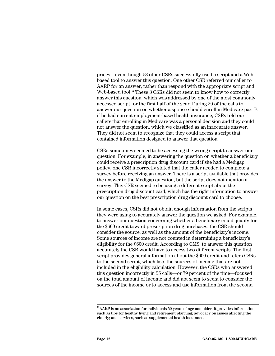prices—even though 53 other CSRs successfully used a script and a Webbased tool to answer this question. One other CSR referred our caller to AARP for an answer, rather than respond with the appropriate script and Web-based tool.<sup>12</sup> These 3 CSRs did not seem to know how to correctly answer this question, which was addressed by one of the most commonly accessed script for the first half of the year. During 20 of the calls to answer our question on whether a spouse should enroll in Medicare part B if he had current employment-based health insurance, CSRs told our callers that enrolling in Medicare was a personal decision and they could not answer the question, which we classified as an inaccurate answer. They did not seem to recognize that they could access a script that contained information designed to answer that question.

CSRs sometimes seemed to be accessing the wrong script to answer our question. For example, in answering the question on whether a beneficiary could receive a prescription drug discount card if she had a Medigap policy, one CSR incorrectly stated that the caller needed to complete a survey before receiving an answer. There is a script available that provides the answer to the Medigap question, but the script does not mention a survey. This CSR seemed to be using a different script about the prescription drug discount card, which has the right information to answer our question on the best prescription drug discount card to choose.

In some cases, CSRs did not obtain enough information from the scripts they were using to accurately answer the question we asked. For example, to answer our question concerning whether a beneficiary could qualify for the \$600 credit toward prescription drug purchases, the CSR should consider the source, as well as the amount of the beneficiary's income. Some sources of income are not counted in determining a beneficiary's eligibility for the \$600 credit. According to CMS, to answer this question accurately the CSR would have to access two different scripts. The first script provides general information about the \$600 credit and refers CSRs to the second script, which lists the sources of income that are not included in the eligibility calculation. However, the CSRs who answered this question incorrectly in 55 calls—or 79 percent of the time—focused on the total amount of income and did not seem to seem to consider the sources of the income or to access and use information from the second

<span id="page-16-0"></span> $12$ AARP is an association for individuals 50 years of age and older. It provides information, such as tips for healthy living and retirement planning; advocacy on issues affecting the elderly; and services, such as supplemental health insurance.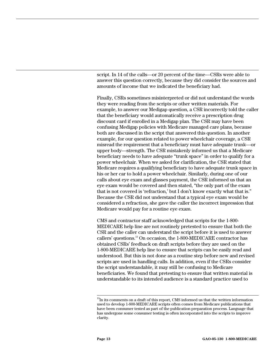script. In 14 of the calls—or 20 percent of the time—CSRs were able to answer this question correctly, because they did consider the sources and amounts of income that we indicated the beneficiary had.

Finally, CSRs sometimes misinterpreted or did not understand the words they were reading from the scripts or other written materials. For example, to answer our Medigap question, a CSR incorrectly told the caller that the beneficiary would automatically receive a prescription drug discount card if enrolled in a Medigap plan. The CSR may have been confusing Medigap policies with Medicare managed care plans, because both are discussed in the script that answered this question. In another example, for our question related to power wheelchair coverage, a CSR misread the requirement that a beneficiary must have adequate trunk—or upper body—strength. The CSR mistakenly informed us that a Medicare beneficiary needs to have adequate "trunk space" in order to qualify for a power wheelchair. When we asked for clarification, the CSR stated that Medicare requires a qualifying beneficiary to have adequate trunk space in his or her car to hold a power wheelchair. Similarly, during one of our calls about eye exam and glasses payment, the CSR informed us that an eye exam would be covered and then stated, "the only part of the exam that is not covered is 'refraction,' but I don't know exactly what that is." Because the CSR did not understand that a typical eye exam would be considered a refraction, she gave the caller the incorrect impression that Medicare would pay for a routine eye exam.

CMS and contractor staff acknowledged that scripts for the 1-800- MEDICARE help line are not routinely pretested to ensure that both the CSR and the caller can understand the script before it is used to answer callers' questions.[13 O](#page-17-0)n occasion, the 1-800-MEDICARE contractor has obtained CSRs' feedback on draft scripts before they are used on the 1-800-MEDICARE help line to ensure that scripts can be easily read and understood. But this is not done as a routine step before new and revised scripts are used in handling calls. In addition, even if the CSRs consider the script understandable, it may still be confusing to Medicare beneficiaries. We found that pretesting to ensure that written material is understandable to its intended audience is a standard practice used to

<span id="page-17-0"></span> $\rm ^{13}In$  its comments on a draft of this report, CMS informed us that the written information used to develop 1-800-MEDICARE scripts often comes from Medicare publications that have been consumer tested as part of the publication preparation process. Language that has undergone some consumer testing is often incorporated into the scripts to improve clarity.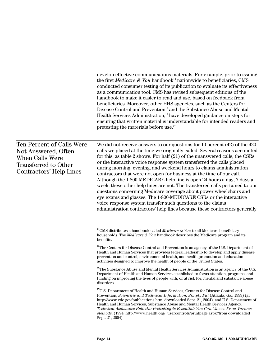<span id="page-18-3"></span><span id="page-18-2"></span><span id="page-18-1"></span><span id="page-18-0"></span>

|                                                                                                                                      | develop effective communications materials. For example, prior to issuing<br>the first Medicare & You handbook <sup>14</sup> nationwide to beneficiaries, CMS<br>conducted consumer testing of its publication to evaluate its effectiveness<br>as a communication tool. CMS has revised subsequent editions of the<br>handbook to make it easier to read and use, based on feedback from<br>beneficiaries. Moreover, other HHS agencies, such as the Centers for<br>Disease Control and Prevention <sup>15</sup> and the Substance Abuse and Mental<br>Health Services Administration, <sup>16</sup> have developed guidance on steps for<br>ensuring that written material is understandable for intended readers and<br>pretesting the materials before use. <sup>17</sup>                                                                                                                                                                                                                                                                                                                                                                                                                                                                                                                                                                                                                                                                            |
|--------------------------------------------------------------------------------------------------------------------------------------|----------------------------------------------------------------------------------------------------------------------------------------------------------------------------------------------------------------------------------------------------------------------------------------------------------------------------------------------------------------------------------------------------------------------------------------------------------------------------------------------------------------------------------------------------------------------------------------------------------------------------------------------------------------------------------------------------------------------------------------------------------------------------------------------------------------------------------------------------------------------------------------------------------------------------------------------------------------------------------------------------------------------------------------------------------------------------------------------------------------------------------------------------------------------------------------------------------------------------------------------------------------------------------------------------------------------------------------------------------------------------------------------------------------------------------------------------------|
| Ten Percent of Calls Were<br>Not Answered, Often<br><b>When Calls Were</b><br><b>Transferred to Other</b><br>Contractors' Help Lines | We did not receive answers to our questions for 10 percent $(42)$ of the $420$<br>calls we placed at the time we originally called. Several reasons accounted<br>for this, as table 2 shows. For half (21) of the unanswered calls, the CSRs<br>or the interactive voice response system transferred the calls placed<br>during morning, evening, and weekend hours to claims administration<br>contractors that were not open for business at the time of our call.<br>Although the 1-800-MEDICARE help line is open 24 hours a day, 7 days a<br>week, these other help lines are not. The transferred calls pertained to our<br>questions concerning Medicare coverage about power wheelchairs and<br>eye exams and glasses. The 1-800-MEDICARE CSRs or the interactive<br>voice response system transfer such questions to the claims<br>administration contractors' help lines because these contractors generally                                                                                                                                                                                                                                                                                                                                                                                                                                                                                                                                   |
|                                                                                                                                      | <sup>14</sup> CMS distributes a handbook called <i>Medicare &amp; You</i> to all Medicare beneficiary<br>households. The Medicare & You handbook describes the Medicare program and its<br>benefits.<br><sup>15</sup> The Centers for Disease Control and Prevention is an agency of the U.S. Department of<br>Health and Human Services that provides federal leadership to develop and apply disease<br>prevention and control, environmental health, and health promotion and education<br>activities designed to improve the health of people of the United States.<br><sup>16</sup> The Substance Abuse and Mental Health Services Administration is an agency of the U.S.<br>Department of Health and Human Services established to focus attention, programs, and<br>funding on improving the lives of people with, or at risk for, mental and substance abuse<br>disorders.<br><sup>17</sup> U.S. Department of Health and Human Services, Centers for Disease Control and<br>Prevention, Scientific and Technical Information: Simply Put (Atlanta, Ga.: 1999) (at<br>http://www.cdc.gov/publications.htm, downloaded Sept. 21, 2004), and U.S. Department of<br>Health and Human Services, Substance Abuse and Mental Health Services Agency,<br>Technical Assistance Bulletin: Pretesting is Essential; You Can Choose From Various<br>Methods. (1994, http://www.health.org/_usercontrols/printpage.aspx?from downloaded<br>Sept. 21, 2004). |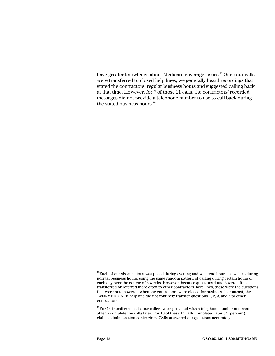have greater knowledge about Medicare coverage issues.<sup>18</sup> Once our calls were transferred to closed help lines, we generally heard recordings that stated the contractors' regular business hours and suggested calling back at that time. However, for 7 of those 21 calls, the contractors' recorded messages did not provide a telephone number to use to call back during the stated business hours.<sup>[19](#page-19-1)</sup>

<span id="page-19-0"></span> $^{18}$  Each of our six questions was posed during evening and weekend hours, as well as during normal business hours, using the same random pattern of calling during certain hours of each day over the course of 3 weeks. However, because questions 4 and 6 were often transferred or referred more often to other contractors' help lines, these were the questions that were not answered when the contractors were closed for business. In contrast, the 1-800-MEDICARE help line did not routinely transfer questions 1, 2, 3, and 5 to other contractors.

<span id="page-19-1"></span> $19$ For 14 transferred calls, our callers were provided with a telephone number and were able to complete the calls later. For 10 of these 14 calls completed later (71 percent), claims administration contractors' CSRs answered our questions accurately.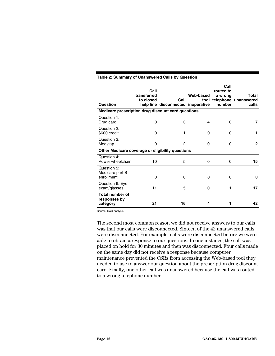| Question                                           | Call<br>transferred<br>to closed | Call<br>help line disconnected inoperative | Web-based | Call<br>routed to<br>a wrong<br>number | Total<br>tool telephone unanswered<br>calls |
|----------------------------------------------------|----------------------------------|--------------------------------------------|-----------|----------------------------------------|---------------------------------------------|
| Medicare prescription drug discount card questions |                                  |                                            |           |                                        |                                             |
| Question 1:<br>Drug card                           | 0                                | 3                                          | 4         | $\Omega$                               | 7                                           |
| Question 2:<br>\$600 credit                        | 0                                | 1                                          | 0         | 0                                      | 1                                           |
| Question 3:<br>Medigap                             | 0                                | 2                                          | 0         | 0                                      | $\mathbf{2}$                                |
| Other Medicare coverage or eligibility questions   |                                  |                                            |           |                                        |                                             |
| Question 4:<br>Power wheelchair                    | 10                               | 5                                          | $\Omega$  | $\Omega$                               | 15                                          |
| Question 5:<br>Medicare part B<br>enrollment       | $\Omega$                         | 0                                          | $\Omega$  | $\Omega$                               | 0                                           |
| Question 6: Eye<br>exam/glasses                    | 11                               | 5                                          | 0         | 1                                      | 17                                          |
| <b>Total number of</b><br>responses by<br>category | 21                               | 16                                         | 4         |                                        | 42                                          |

#### <span id="page-20-0"></span>**Table 2: Summary of Unanswered Calls by Question**

Source: GAO analysis.

The second most common reason we did not receive answers to our calls was that our calls were disconnected. Sixteen of the 42 unanswered calls were disconnected. For example, calls were disconnected before we were able to obtain a response to our questions. In one instance, the call was placed on hold for 30 minutes and then was disconnected. Four calls made on the same day did not receive a response because computer maintenance prevented the CSRs from accessing the Web-based tool they needed to use to answer our question about the prescription drug discount card. Finally, one other call was unanswered because the call was routed to a wrong telephone number.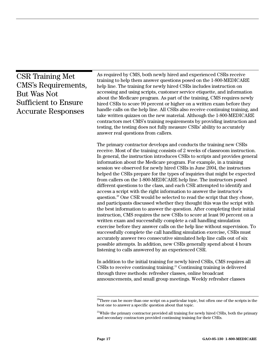<span id="page-21-0"></span>

| <b>CSR Training Met</b><br><b>CMS's Requirements,</b><br>But Was Not<br><b>Sufficient to Ensure</b><br><b>Accurate Responses</b> | As required by CMS, both newly hired and experienced CSRs receive<br>training to help them answer questions posed on the 1-800-MEDICARE<br>help line. The training for newly hired CSRs includes instruction on<br>accessing and using scripts, customer service etiquette, and information<br>about the Medicare program. As part of the training, CMS requires newly<br>hired CSRs to score 90 percent or higher on a written exam before they<br>handle calls on the help line. All CSRs also receive continuing training, and<br>take written quizzes on the new material. Although the 1-800-MEDICARE<br>contractors met CMS's training requirements by providing instruction and<br>testing, the testing does not fully measure CSRs' ability to accurately<br>answer real questions from callers.                                                                                                                                                                                                                                                                                                                                                                                                                                                                                                                                                                                                                                                         |
|----------------------------------------------------------------------------------------------------------------------------------|------------------------------------------------------------------------------------------------------------------------------------------------------------------------------------------------------------------------------------------------------------------------------------------------------------------------------------------------------------------------------------------------------------------------------------------------------------------------------------------------------------------------------------------------------------------------------------------------------------------------------------------------------------------------------------------------------------------------------------------------------------------------------------------------------------------------------------------------------------------------------------------------------------------------------------------------------------------------------------------------------------------------------------------------------------------------------------------------------------------------------------------------------------------------------------------------------------------------------------------------------------------------------------------------------------------------------------------------------------------------------------------------------------------------------------------------------------------|
|                                                                                                                                  | The primary contractor develops and conducts the training new CSRs<br>receive. Most of the training consists of 2 weeks of classroom instruction.<br>In general, the instruction introduces CSRs to scripts and provides general<br>information about the Medicare program. For example, in a training<br>session we observed for newly hired CSRs in June 2004, the instructors<br>helped the CSRs prepare for the types of inquiries that might be expected<br>from callers on the 1-800-MEDICARE help line. The instructors posed<br>different questions to the class, and each CSR attempted to identify and<br>access a script with the right information to answer the instructor's<br>question. <sup>20</sup> One CSR would be selected to read the script that they chose,<br>and participants discussed whether they thought this was the script with<br>the best information to answer the question. After completing their initial<br>instruction, CMS requires the new CSRs to score at least 90 percent on a<br>written exam and successfully complete a call handling simulation<br>exercise before they answer calls on the help line without supervision. To<br>successfully complete the call handling simulation exercise, CSRs must<br>accurately answer two consecutive simulated help line calls out of six<br>possible attempts. In addition, new CSRs generally spend about 4 hours<br>listening to calls answered by an experienced CSR. |
|                                                                                                                                  | In addition to the initial training for newly hired CSRs, CMS requires all<br>CSRs to receive continuing training. <sup>21</sup> Continuing training is delivered                                                                                                                                                                                                                                                                                                                                                                                                                                                                                                                                                                                                                                                                                                                                                                                                                                                                                                                                                                                                                                                                                                                                                                                                                                                                                                |

CSRs to receive continuing training.<sup>21</sup> Continuing training is delivered through three methods: refresher classes, online broadcast announcements, and small group meetings. Weekly refresher classes

<span id="page-21-1"></span> $20$ <sup>20</sup>There can be more than one script on a particular topic, but often one of the scripts is the best one to answer a specific question about that topic.

<span id="page-21-2"></span> $^{21}$ While the primary contractor provided all training for newly hired CSRs, both the primary and secondary contractors provided continuing training for their CSRs.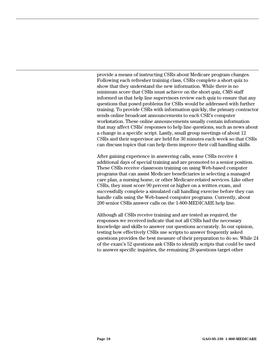provide a means of instructing CSRs about Medicare program changes. Following each refresher training class, CSRs complete a short quiz to show that they understand the new information. While there is no minimum score that CSRs must achieve on the short quiz, CMS staff informed us that help line supervisors review each quiz to ensure that any questions that posed problems for CSRs would be addressed with further training. To provide CSRs with information quickly, the primary contractor sends online broadcast announcements to each CSR's computer workstation. These online announcements usually contain information that may affect CSRs' responses to help line questions, such as news about a change in a specific script. Lastly, small group meetings of about 12 CSRs and their supervisor are held for 30 minutes each week so that CSRs can discuss topics that can help them improve their call handling skills.

After gaining experience in answering calls, some CSRs receive 4 additional days of special training and are promoted to a senior position. These CSRs receive classroom training on using Web-based computer programs that can assist Medicare beneficiaries in selecting a managed care plan, a nursing home, or other Medicare-related services. Like other CSRs, they must score 90 percent or higher on a written exam, and successfully complete a simulated call handling exercise before they can handle calls using the Web-based computer programs. Currently, about 200 senior CSRs answer calls on the 1-800-MEDICARE help line.

Although all CSRs receive training and are tested as required, the responses we received indicate that not all CSRs had the necessary knowledge and skills to answer our questions accurately. In our opinion, testing how effectively CSRs use scripts to answer frequently asked questions provides the best measure of their preparation to do so. While 24 of the exam's 52 questions ask CSRs to identify scripts that could be used to answer specific inquiries, the remaining 28 questions target other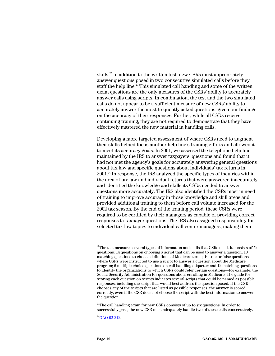skills.<sup>22</sup> In addition to the written test, new CSRs must appropriately answer questions posed in two consecutive simulated calls before they staff the help line.<sup>23</sup> This simulated call handling and some of the written exam questions are the only measures of the CSRs' ability to accurately answer calls using scripts. In combination, the test and the two simulated calls do not appear to be a sufficient measure of new CSRs' ability to accurately answer the most frequently asked questions, given our findings on the accuracy of their responses. Further, while all CSRs receive continuing training, they are not required to demonstrate that they have effectively mastered the new material in handling calls.

Developing a more targeted assessment of where CSRs need to augment their skills helped focus another help line's training efforts and allowed it to meet its accuracy goals. In 2001, we assessed the telephone help line maintained by the IRS to answer taxpayers' questions and found that it had not met the agency's goals for accurately answering general questions about tax law and specific questions about individuals' tax returns in 2001.[24 I](#page-23-2)n response, the IRS analyzed the specific types of inquiries within the area of tax law and individual returns that were answered inaccurately and identified the knowledge and skills its CSRs needed to answer questions more accurately. The IRS also identified the CSRs most in need of training to improve accuracy in those knowledge and skill areas and provided additional training to them before call volume increased for the 2002 tax season. By the end of the training period, these CSRs were required to be certified by their managers as capable of providing correct responses to taxpayer questions. The IRS also assigned responsibility for selected tax law topics to individual call center managers, making them

<span id="page-23-1"></span> $^{23}$ The call handling exam for new CSRs consists of up to six questions. In order to successfully pass, the new CSR must adequately handle two of these calls consecutively.

<span id="page-23-2"></span> $^{24}$ GAO-02-212.

<span id="page-23-0"></span> $^{22}$ The test measures several types of information and skills that CSRs need. It consists of 52 questions: 14 questions on choosing a script that can be used to answer a question; 10 matching questions to choose definitions of Medicare terms; 10 true or false questions where CSRs were instructed to use a script to answer a question about the Medicare program; 6 multiple choice questions on call handling etiquette; and 12 matching questions to identify the organizations to which CSRs could refer certain questions—for example, the Social Security Administration for questions about enrolling in Medicare. The guide for scoring each question on scripts indicates several scripts that could be named as possible responses, including the script that would best address the question posed. If the CSR chooses any of the scripts that are listed as possible responses, the answer is scored correctly, even if the CSR does not choose the script with the best information to answer the question.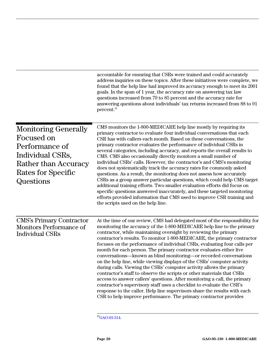<span id="page-24-0"></span>

|                                                                                                                                            | accountable for ensuring that CSRs were trained and could accurately<br>address inquiries on these topics. After these initiatives were complete, we<br>found that the help line had improved its accuracy enough to meet its 2001<br>goals. In the span of 1 year, the accuracy rate on answering tax law<br>questions increased from 79 to 85 percent and the accuracy rate for<br>answering questions about individuals' tax returns increased from 88 to 91<br>percent. <sup>25</sup>                                                                                                                                                                                                                                                                                                                                                                                                                                                                                                                                                                        |
|--------------------------------------------------------------------------------------------------------------------------------------------|------------------------------------------------------------------------------------------------------------------------------------------------------------------------------------------------------------------------------------------------------------------------------------------------------------------------------------------------------------------------------------------------------------------------------------------------------------------------------------------------------------------------------------------------------------------------------------------------------------------------------------------------------------------------------------------------------------------------------------------------------------------------------------------------------------------------------------------------------------------------------------------------------------------------------------------------------------------------------------------------------------------------------------------------------------------|
| <b>Monitoring Generally</b><br>Focused on<br>Performance of<br>Individual CSRs,<br>Rather than Accuracy<br>Rates for Specific<br>Questions | CMS monitors the 1-800-MEDICARE help line mostly by requiring its<br>primary contractor to evaluate four individual conversations that each<br>CSR has with callers each month. Based on these conversations, the<br>primary contractor evaluates the performance of individual CSRs in<br>several categories, including accuracy, and reports the overall results to<br>CMS. CMS also occasionally directly monitors a small number of<br>individual CSRs' calls. However, the contractor's and CMS's monitoring<br>does not systematically track the accuracy rates for commonly asked<br>questions. As a result, the monitoring does not assess how accurately<br>CSRs as a group answer particular questions, which could help CMS target<br>additional training efforts. Two smaller evaluation efforts did focus on<br>specific questions answered inaccurately, and these targeted monitoring<br>efforts provided information that CMS used to improve CSR training and<br>the scripts used on the help line.                                             |
| <b>CMS's Primary Contractor</b><br><b>Monitors Performance of</b><br><b>Individual CSRs</b>                                                | At the time of our review, CMS had delegated most of the responsibility for<br>monitoring the accuracy of the 1-800-MEDICARE help line to the primary<br>contractor, while maintaining oversight by reviewing the primary<br>contractor's results. To monitor 1-800-MEDICARE, the primary contractor<br>focuses on the performance of individual CSRs, evaluating four calls per<br>month for each person. The primary contractor evaluates either live<br>conversations—known as blind monitoring—or recorded conversations<br>on the help line, while viewing displays of the CSRs' computer activity<br>during calls. Viewing the CSRs' computer activity allows the primary<br>contractor's staff to observe the scripts or other materials that CSRs<br>access to answer callers' questions. After monitoring a call, the primary<br>contractor's supervisory staff uses a checklist to evaluate the CSR's<br>response to the caller. Help line supervisors share the results with each<br>CSR to help improve performance. The primary contractor provides |

<span id="page-24-1"></span> $\mathrm{^{25}GAO\text{-}03\text{-}314}.$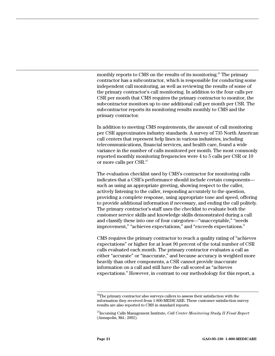monthly reports to CMS on the results of its monitoring.<sup>26</sup> The primary contractor has a subcontractor, which is responsible for conducting some independent call monitoring, as well as reviewing the results of some of the primary contractor's call monitoring. In addition to the four calls per CSR per month that CMS requires the primary contractor to monitor, the subcontractor monitors up to one additional call per month per CSR. The subcontractor reports its monitoring results monthly to CMS and the primary contractor.

In addition to meeting CMS requirements, the amount of call monitoring per CSR approximates industry standards. A survey of 735 North American call centers that represent help lines in various industries, including telecommunications, financial services, and health care, found a wide variance in the number of calls monitored per month. The most commonly reported monthly monitoring frequencies were 4 to 5 calls per CSR or 10 or more calls per CSR.[27](#page-25-1)

The evaluation checklist used by CMS's contractor for monitoring calls indicates that a CSR's performance should include certain components such as using an appropriate greeting, showing respect to the caller, actively listening to the caller, responding accurately to the question, providing a complete response, using appropriate tone and speed, offering to provide additional information if necessary, and ending the call politely. The primary contractor's staff uses the checklist to evaluate both the customer service skills and knowledge skills demonstrated during a call and classify these into one of four categories—"unacceptable," "needs improvement," "achieves expectations," and "exceeds expectations."

CMS requires the primary contractor to reach a quality rating of "achieves expectations" or higher for at least 90 percent of the total number of CSR calls evaluated each month. The primary contractor evaluates a call as either "accurate" or "inaccurate," and because accuracy is weighted more heavily than other components, a CSR cannot provide inaccurate information on a call and still have the call scored as "achieves expectations." However, in contrast to our methodology for this report, a

<span id="page-25-0"></span> $26$ The primary contractor also surveys callers to assess their satisfaction with the information they received from 1-800-MEDICARE. These customer satisfaction survey results are also reported to CMS in standard reports.

<span id="page-25-1"></span><sup>27</sup>Incoming Calls Management Institute, *Call Center Monitoring Study II Final Report*  (Annapolis, Md.: 2002).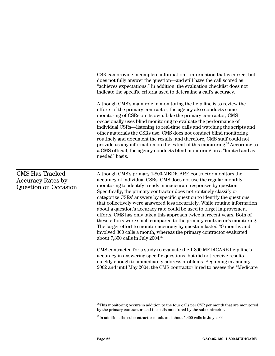CSR can provide incomplete information—information that is correct but does not fully answer the question—and still have the call scored as "achieves expectations." In addition, the evaluation checklist does not indicate the specific criteria used to determine a call's accuracy.

Although CMS's main role in monitoring the help line is to review the efforts of the primary contractor, the agency also conducts some monitoring of CSRs on its own. Like the primary contractor, CMS occasionally uses blind monitoring to evaluate the performance of individual CSRs—listening to real-time calls and watching the scripts and other materials the CSRs use. CMS does not conduct blind monitoring routinely and document the results, and therefore, CMS staff could not provide us any information on the extent of this monitoring[.28](#page-26-0) According to a CMS official, the agency conducts blind monitoring on a "limited and asneeded" basis.

#### CMS Has Tracked Accuracy Rates by Question on Occasion

Although CMS's primary 1-800-MEDICARE contractor monitors the accuracy of individual CSRs, CMS does not use the regular monthly monitoring to identify trends in inaccurate responses by question. Specifically, the primary contractor does not routinely classify or categorize CSRs' answers by specific question to identify the questions that collectively were answered less accurately. While routine information about a question's accuracy rate could be used to target improvement efforts, CMS has only taken this approach twice in recent years. Both of these efforts were small compared to the primary contractor's monitoring. The larger effort to monitor accuracy by question lasted 29 months and involved 300 calls a month, whereas the primary contractor evaluated about  $7,350$  calls in July  $2004.^{29}$  $2004.^{29}$  $2004.^{29}$ 

CMS contracted for a study to evaluate the 1-800-MEDICARE help line's accuracy in answering specific questions, but did not receive results quickly enough to immediately address problems. Beginning in January 2002 and until May 2004, the CMS contractor hired to assess the "Medicare

<span id="page-26-0"></span> $^{28}$ This monitoring occurs in addition to the four calls per CSR per month that are monitored by the primary contractor, and the calls monitored by the subcontractor.

<span id="page-26-1"></span> $^{29}$ In addition, the subcontractor monitored about 1,400 calls in July 2004.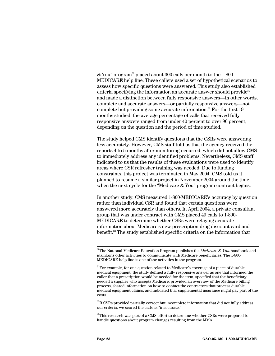& You" program[30 p](#page-27-0)laced about 300 calls per month to the 1-800- MEDICARE help line. These callers used a set of hypothetical scenarios to assess how specific questions were answered. This study also established criteria specifying the information an accurate answer should provide<sup>[31](#page-27-1)</sup> and made a distinction between fully responsive answers—in other words, complete and accurate answers—or partially responsive answers—not complete but providing some accurate information.<sup>32</sup> For the first  $19$ months studied, the average percentage of calls that received fully responsive answers ranged from under 40 percent to over 90 percent, depending on the question and the period of time studied.

The study helped CMS identify questions that the CSRs were answering less accurately. However, CMS staff told us that the agency received the reports 4 to 5 months after monitoring occurred, which did not allow CMS to immediately address any identified problems. Nevertheless, CMS staff indicated to us that the results of these evaluations were used to identify areas where CSR refresher training was needed. Due to funding constraints, this project was terminated in May 2004. CMS told us it planned to resume a similar project in November 2004 around the time when the next cycle for the "Medicare & You" program contract begins.

In another study, CMS measured 1-800-MEDICARE's accuracy by question rather than individual CSR and found that certain questions were answered more accurately than others. In April 2004, a private consultant group that was under contract with CMS placed 49 calls to 1-800- MEDICARE to determine whether CSRs were relaying accurate information about Medicare's new prescription drug discount card and benefit.[33 T](#page-27-3)he study established specific criteria on the information that

<span id="page-27-2"></span> $32$ If CSRs provided partially correct but incomplete information that did not fully address our criteria, we scored the calls as "inaccurate."

<span id="page-27-3"></span> $33$ This research was part of a CMS effort to determine whether CSRs were prepared to handle questions about program changes resulting from the MMA.

<span id="page-27-0"></span> <sup>30</sup>The National Medicare Education Program publishes the *Medicare & You* handbook and maintains other activities to communicate with Medicare beneficiaries. The 1-800- MEDICARE help line is one of the activities in the program.

<span id="page-27-1"></span><sup>&</sup>lt;sup>31</sup>For example, for one question related to Medicare's coverage of a piece of durable medical equipment, the study defined a fully responsive answer as one that informed the caller that a prescription would be needed for the item, specified that the beneficiary needed a supplier who accepts Medicare, provided an overview of the Medicare billing process, shared information on how to contact the contractors that process durable medical equipment claims, and indicated that supplemental insurance might pay part of the costs.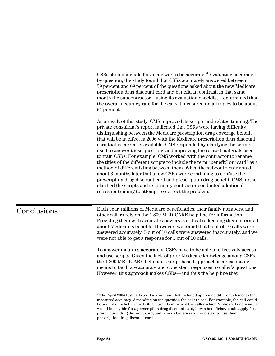CSRs should include for an answer to be accurate.<sup>34</sup> Evaluating accuracy by question, the study found that CSRs accurately answered between 39 percent and 69 percent of the questions asked about the new Medicare prescription drug discount card and benefit. In contrast, in that same month the subcontractor—using its evaluation checklist—determined that the overall accuracy rate for the calls it measured on all topics to be about 94 percent.

As a result of this study, CMS improved its scripts and related training. The private consultant's report indicated that CSRs were having difficulty distinguishing between the Medicare prescription drug coverage benefit that will be in effect in 2006 with the Medicare prescription drug discount card that is currently available. CMS responded by clarifying the scripts used to answer these questions and improving the related materials used to train CSRs. For example, CMS worked with the contractor to rename the titles of the different scripts to include the term "benefit" or "card" as a method of differentiating between them. When the subcontractor noted about 3 months later that a few CSRs were continuing to confuse the prescription drug discount card and prescription drug benefit, CMS further clarified the scripts and its primary contractor conducted additional refresher training to attempt to correct the problem.

## <span id="page-28-0"></span>Conclusions

Each year, millions of Medicare beneficiaries, their family members, and other callers rely on the 1-800-MEDICARE help line for information. Providing them with accurate answers is critical to keeping them informed about Medicare's benefits. However, we found that 6 out of 10 calls were answered accurately, 3 out of 10 calls were answered inaccurately, and we were not able to get a response for 1 out of 10 calls.

To answer inquiries accurately, CSRs have to be able to effectively access and use scripts. Given the lack of prior Medicare knowledge among CSRs, the 1-800-MEDICARE help line's script-based approach is a reasonable means to facilitate accurate and consistent responses to caller's questions. However, this approach makes CSRs—and thus the help line they

<span id="page-28-1"></span><sup>&</sup>lt;sup>34</sup>The April 2004 test calls used a scorecard that included up to nine different elements that measured accuracy, depending on the question the caller used. For example, the call could be scored on whether the CSR accurately informed the caller which Medicare beneficiaries would be eligible for a prescription drug discount card, how a beneficiary could apply for a prescription drug discount card, and when a beneficiary could start to use their prescription drug discount card.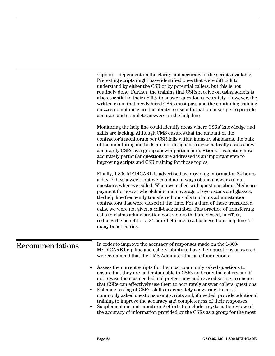<span id="page-29-0"></span>

|                 | support—dependent on the clarity and accuracy of the scripts available.<br>Pretesting scripts might have identified ones that were difficult to<br>understand by either the CSR or by potential callers, but this is not<br>routinely done. Further, the training that CSRs receive on using scripts is<br>also essential to their ability to answer questions accurately. However, the<br>written exam that newly hired CSRs must pass and the continuing training<br>quizzes do not measure the ability to use information in scripts to provide<br>accurate and complete answers on the help line.                                                                                                                              |
|-----------------|------------------------------------------------------------------------------------------------------------------------------------------------------------------------------------------------------------------------------------------------------------------------------------------------------------------------------------------------------------------------------------------------------------------------------------------------------------------------------------------------------------------------------------------------------------------------------------------------------------------------------------------------------------------------------------------------------------------------------------|
|                 | Monitoring the help line could identify areas where CSRs' knowledge and<br>skills are lacking. Although CMS ensures that the amount of the<br>contractor's monitoring per CSR falls within industry standards, the bulk<br>of the monitoring methods are not designed to systematically assess how<br>accurately CSRs as a group answer particular questions. Evaluating how<br>accurately particular questions are addressed is an important step to<br>improving scripts and CSR training for those topics.                                                                                                                                                                                                                      |
|                 | Finally, 1-800-MEDICARE is advertised as providing information 24 hours<br>a day, 7 days a week, but we could not always obtain answers to our<br>questions when we called. When we called with questions about Medicare<br>payment for power wheelchairs and coverage of eye exams and glasses,<br>the help line frequently transferred our calls to claims administration<br>contractors that were closed at the time. For a third of these transferred<br>calls, we were not given a call-back number. This practice of transferring<br>calls to claims administration contractors that are closed, in effect,<br>reduces the benefit of a 24-hour help line to a business-hour help line for<br>many beneficiaries.            |
| Recommendations | In order to improve the accuracy of responses made on the 1-800-<br>MEDICARE help line and callers' ability to have their questions answered,<br>we recommend that the CMS Administrator take four actions:                                                                                                                                                                                                                                                                                                                                                                                                                                                                                                                        |
|                 | Assess the current scripts for the most commonly asked questions to<br>$\bullet$<br>ensure that they are understandable to CSRs and potential callers and if<br>not, revise them as needed and pretest new and revised scripts to ensure<br>that CSRs can effectively use them to accurately answer callers' questions.<br>Enhance testing of CSRs' skills in accurately answering the most<br>$\bullet$<br>commonly asked questions using scripts and, if needed, provide additional<br>training to improve the accuracy and completeness of their responses.<br>Supplement current monitoring efforts to include a systematic review of<br>$\bullet$<br>the accuracy of information provided by the CSRs as a group for the most |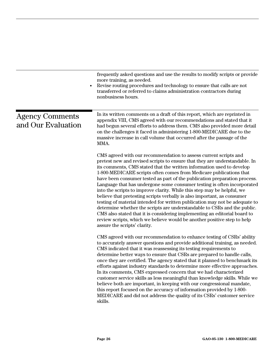<span id="page-30-0"></span>

|                                              | frequently asked questions and use the results to modify scripts or provide<br>more training, as needed.<br>Revise routing procedures and technology to ensure that calls are not<br>transferred or referred to claims administration contractors during<br>nonbusiness hours.                                                                                                                                                                                                                                                                                                                                                                                                                                                                                                                                                                                                                                                                                 |
|----------------------------------------------|----------------------------------------------------------------------------------------------------------------------------------------------------------------------------------------------------------------------------------------------------------------------------------------------------------------------------------------------------------------------------------------------------------------------------------------------------------------------------------------------------------------------------------------------------------------------------------------------------------------------------------------------------------------------------------------------------------------------------------------------------------------------------------------------------------------------------------------------------------------------------------------------------------------------------------------------------------------|
| <b>Agency Comments</b><br>and Our Evaluation | In its written comments on a draft of this report, which are reprinted in<br>appendix VIII, CMS agreed with our recommendations and stated that it<br>had begun several efforts to address them. CMS also provided more detail<br>on the challenges it faced in administering 1-800-MEDICARE due to the<br>massive increase in call volume that occurred after the passage of the<br>MMA.                                                                                                                                                                                                                                                                                                                                                                                                                                                                                                                                                                      |
|                                              | CMS agreed with our recommendation to assess current scripts and<br>pretest new and revised scripts to ensure that they are understandable. In<br>its comments, CMS stated that the written information used to develop<br>1-800-MEDICARE scripts often comes from Medicare publications that<br>have been consumer tested as part of the publication preparation process.<br>Language that has undergone some consumer testing is often incorporated<br>into the scripts to improve clarity. While this step may be helpful, we<br>believe that pretesting scripts verbally is also important, as consumer<br>testing of material intended for written publication may not be adequate to<br>determine whether the scripts are understandable to CSRs and the public.<br>CMS also stated that it is considering implementing an editorial board to<br>review scripts, which we believe would be another positive step to help<br>assure the scripts' clarity. |
|                                              | CMS agreed with our recommendation to enhance testing of CSRs' ability<br>to accurately answer questions and provide additional training, as needed.<br>CMS indicated that it was reassessing its testing requirements to<br>determine better ways to ensure that CSRs are prepared to handle calls,<br>once they are certified. The agency stated that it planned to benchmark its<br>efforts against industry standards to determine more effective approaches.<br>In its comments, CMS expressed concern that we had characterized<br>customer service skills as less meaningful than knowledge skills. While we<br>believe both are important, in keeping with our congressional mandate,<br>this report focused on the accuracy of information provided by 1-800-<br>MEDICARE and did not address the quality of its CSRs' customer service<br>skills.                                                                                                    |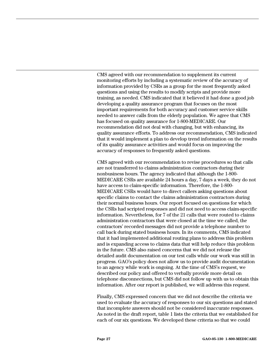CMS agreed with our recommendation to supplement its current monitoring efforts by including a systematic review of the accuracy of information provided by CSRs as a group for the most frequently asked questions and using the results to modify scripts and provide more training, as needed. CMS indicated that it believed it had done a good job developing a quality assurance program that focuses on the most important requirements for both accuracy and customer service skills needed to answer calls from the elderly population. We agree that CMS has focused on quality assurance for 1-800-MEDICARE. Our recommendation did not deal with changing, but with enhancing, its quality assurance efforts. To address our recommendation, CMS indicated that it would implement a plan to develop trend information on the results of its quality assurance activities and would focus on improving the accuracy of responses to frequently asked questions.

CMS agreed with our recommendation to revise procedures so that calls are not transferred to claims administration contractors during their nonbusiness hours. The agency indicated that although the 1-800- MEDICARE CSRs are available 24 hours a day, 7 days a week, they do not have access to claim-specific information. Therefore, the 1-800- MEDICARE CSRs would have to direct callers asking questions about specific claims to contact the claims administration contractors during their normal business hours. Our report focused on questions for which the CSRs had scripted responses and did not need to access claim-specific information. Nevertheless, for 7 of the 21 calls that were routed to claims administration contractors that were closed at the time we called, the contractors' recorded messages did not provide a telephone number to call back during stated business hours. In its comments, CMS indicated that it had implemented additional routing plans to address this problem and is expanding access to claims data that will help reduce this problem in the future. CMS also raised concerns that we did not release the detailed audit documentation on our test calls while our work was still in progress. GAO's policy does not allow us to provide audit documentation to an agency while work is ongoing. At the time of CMS's request, we described our policy and offered to verbally provide more detail on telephone disconnections, but CMS did not follow up with us to obtain this information. After our report is published, we will address this request.

Finally, CMS expressed concern that we did not describe the criteria we used to evaluate the accuracy of responses to our six questions and stated that incomplete answers should not be considered inaccurate responses. As noted in the draft report, table 1 lists the criteria that we established for each of our six questions. We developed these criteria so that we could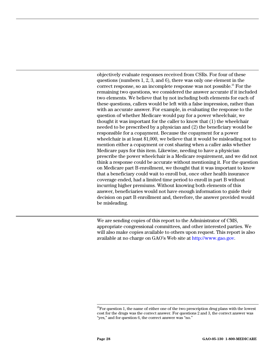objectively evaluate responses received from CSRs. For four of these questions (numbers 1, 2, 3, and 6), there was only one element in the correct response, so an incomplete response was not possible.<sup>35</sup> For the remaining two questions, we considered the answer accurate if it included two elements. We believe that by not including both elements for each of these questions, callers would be left with a false impression, rather than with an accurate answer. For example, in evaluating the response to the question of whether Medicare would pay for a power wheelchair, we thought it was important for the caller to know that (1) the wheelchair needed to be prescribed by a physician and (2) the beneficiary would be responsible for a copayment. Because the copayment for a power wheelchair is at least \$1,000, we believe that it would be misleading not to mention either a copayment or cost sharing when a caller asks whether Medicare pays for this item. Likewise, needing to have a physician prescribe the power wheelchair is a Medicare requirement, and we did not think a response could be accurate without mentioning it. For the question on Medicare part B enrollment, we thought that it was important to know that a beneficiary could wait to enroll but, once other health insurance coverage ended, had a limited time period to enroll in part B without incurring higher premiums. Without knowing both elements of this answer, beneficiaries would not have enough information to guide their decision on part B enrollment and, therefore, the answer provided would be misleading.

We are sending copies of this report to the Administrator of CMS, appropriate congressional committees, and other interested parties. We will also make copies available to others upon request. This report is also available at no charge on GAO's Web site at [http://www.gao.gov.](http://www.gao.gov/)

<span id="page-32-0"></span> $35$ For question 1, the name of either one of the two prescription drug plans with the lowest cost for the drugs was the correct answer. For questions 2 and 3, the correct answer was "yes," and for question 6, the correct answer was "no."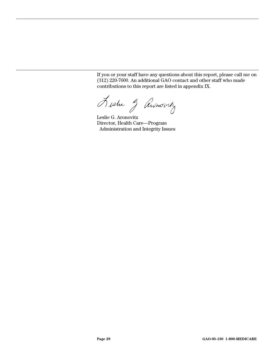If you or your staff have any questions about this report, please call me on (312) 220-7600. An additional GAO contact and other staff who made contributions to this report are listed in appendix IX.

Austre 3 Annovity

Leslie G. Aronovitz Director, Health Care—Program Administration and Integrity Issues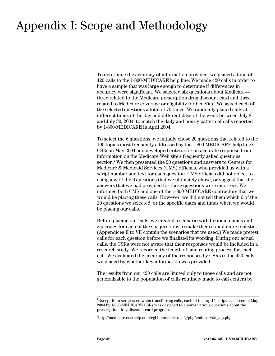## <span id="page-34-0"></span>**Appendix I: Scope and Methodology**  Appendix I: Scope and Methodology

To determine the accuracy of information provided, we placed a total of 420 calls to the 1-800-MEDICARE help line. We made 420 calls in order to have a sample that was large enough to determine if differences in accuracy were significant. We selected six questions about Medicare three related to the Medicare prescription drug discount card and three related to Medicare coverage or eligibility for benefits.<sup>1</sup> We asked each of the selected questions a total of 70 times. We randomly placed calls at different times of the day and different days of the week between July 8 and July 30, 2004, to match the daily and hourly pattern of calls reported by 1-800-MEDICARE in April 2004.

To select the 6 questions, we initially chose 20 questions that related to the 100 topics most frequently addressed by the 1-800-MEDICARE help line's CSRs in May 2004 and developed criteria for an accurate response from information on the Medicare Web site's frequently asked questions section.<sup>2</sup>We then presented the 20 questions and answers to Centers for Medicare & Medicaid Services (CMS) officials, who provided us with a script number and text for each question. CMS officials did not object to using any of the 6 questions that we ultimately chose, or suggest that the answers that we had provided for these questions were incorrect. We informed both CMS and one of the 1-800-MEDICARE contractors that we would be placing these calls. However, we did not tell them which 6 of the 20 questions we selected, or the specific dates and times when we would be placing our calls.

Before placing our calls, we created a scenario with fictional names and zip codes for each of the six questions to make them sound more realistic. (Appendices II to VII contain the scenarios that we used.) We made pretest calls for each question before we finalized its wording. During our actual calls, the CSRs were not aware that their responses would be included in a research study. We recorded the length of, and routing process for, each call. We evaluated the accuracy of the responses by CSRs to the 420 calls we placed by whether key information was provided.

The results from our 420 calls are limited only to those calls and are not generalizable to the population of calls routinely made to call centers by

<span id="page-34-1"></span> $\frac{1}{1}$  $E_{\rm XC}$  Except for a script used when transferring calls, each of the top 15 scripts accessed in May 2004 by 1-800-MEDICARE CSRs was designed to answer various questions about the prescription drug discount card program.

<span id="page-34-2"></span><sup>2</sup> http://medicare.custhelp.com/cgi-bin/medicare.cfg/php/enduser/std\_alp.php.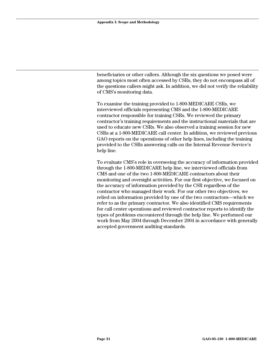beneficiaries or other callers. Although the six questions we posed were among topics most often accessed by CSRs, they do not encompass all of the questions callers might ask. In addition, we did not verify the reliability of CMS's monitoring data.

To examine the training provided to 1-800-MEDICARE CSRs, we interviewed officials representing CMS and the 1-800-MEDICARE contractor responsible for training CSRs. We reviewed the primary contractor's training requirements and the instructional materials that are used to educate new CSRs. We also observed a training session for new CSRs at a 1-800-MEDICARE call center. In addition, we reviewed previous GAO reports on the operations of other help lines, including the training provided to the CSRs answering calls on the Internal Revenue Service's help line.

To evaluate CMS's role in overseeing the accuracy of information provided through the 1-800-MEDICARE help line, we interviewed officials from CMS and one of the two 1-800-MEDICARE contractors about their monitoring and oversight activities. For our first objective, we focused on the accuracy of information provided by the CSR regardless of the contractor who managed their work. For our other two objectives, we relied on information provided by one of the two contractors—which we refer to as the primary contractor. We also identified CMS requirements for call center operations and reviewed contractor reports to identify the types of problems encountered through the help line. We performed our work from May 2004 through December 2004 in accordance with generally accepted government auditing standards.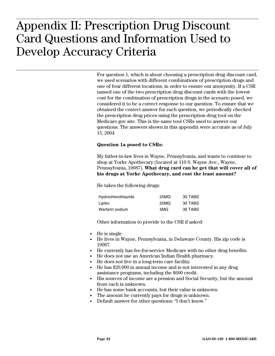## <span id="page-36-0"></span> $\mathbf{A} \times \mathbf{B}$ **Questions and Information Used to Develop**  Appendix II: Prescription Drug Discount Card Questions and Information Used to Develop Accuracy Criteria

For question 1, which is about choosing a prescription drug discount card, we used scenarios with different combinations of prescription drugs and one of four different locations, in order to ensure our anonymity. If a CSR named one of the two prescription drug discount cards with the lowest cost for the combination of prescription drugs in the scenario posed, we considered it to be a correct response to our question. To ensure that we obtained the correct answer for each question, we periodically checked the prescription drug prices using the prescription drug tool on the Medicare.gov site. This is the same tool CSRs used to answer our questions. The answers shown in this appendix were accurate as of July 15, 2004.

#### **Question 1a posed to CSRs:**

My father-in-law lives in Wayne, Pennsylvania, and wants to continue to shop at Yorke Apothecary (located at 110 S. Wayne Ave., Wayne, Pennsylvania, 19087). **What drug card can he get that will cover all of his drugs at Yorke Apothecary, and cost the least amount?**

He takes the following drugs:

| Hydrochlorothiazide | 25MG | 30 TABS |
|---------------------|------|---------|
| Lipitor             | 20MG | 30 TABS |
| Warfarin sodium     | 5MG  | 30 TABS |

- He is single.
- He lives in Wayne, Pennsylvania, in Delaware County. His zip code is 19087.
- He currently has fee-for-service Medicare with no other drug benefits.
- He does not use an American Indian Health pharmacy.
- He does not live in a long-term care facility.
- He has \$20,000 in annual income and is not interested in any drug assistance programs, including the \$600 credit.
- His sources of income are a pension and Social Security, but the amount from each is unknown.
- He has some bank accounts, but their value is unknown.
- The amount he currently pays for drugs is unknown.
- Default answer for other questions: "I don't know."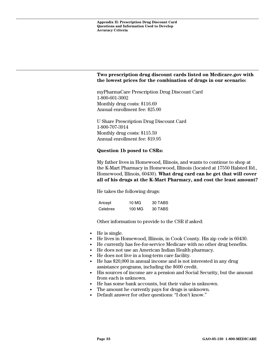myPharmaCare Prescription Drug Discount Card 1-800-601-3002 Monthly drug costs: \$116.69 Annual enrollment fee: \$25.00

U Share Prescription Drug Discount Card 1-800-707-3914 Monthly drug costs: \$115.59 Annual enrollment fee: \$19.95

#### **Question 1b posed to CSRs:**

My father lives in Homewood, Illinois, and wants to continue to shop at the K-Mart Pharmacy in Homewood, Illinois (located at 17550 Halsted Rd., Homewood, Illinois, 60430). **What drug card can he get that will cover all of his drugs at the K-Mart Pharmacy, and cost the least amount?**

He takes the following drugs:

| Aricept  | 10 MG  | 30 TABS |
|----------|--------|---------|
| Celebrex | 100 MG | 30 TABS |

- He is single.
- He lives in Homewood, Illinois, in Cook County. His zip code is 60430.
- He currently has fee-for-service Medicare with no other drug benefits.
- He does not use an American Indian Health pharmacy.
- He does not live in a long-term care facility.
- He has \$20,000 in annual income and is not interested in any drug assistance programs, including the \$600 credit.
- His sources of income are a pension and Social Security, but the amount from each is unknown.
- He has some bank accounts, but their value is unknown.
- The amount he currently pays for drugs is unknown.
- Default answer for other questions: "I don't know."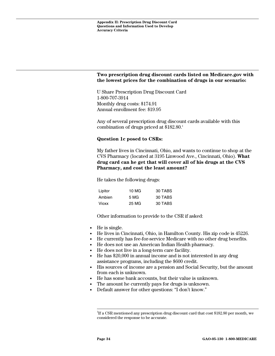U Share Prescription Drug Discount Card 1-800-707-3914 Monthly drug costs: \$174.91 Annual enrollment fee: \$19.95

Any of several prescription drug discount cards available with this combination of drugs priced at  $$182.80$ <sup>1</sup>

#### **Question 1c posed to CSRs:**

My father lives in Cincinnati, Ohio, and wants to continue to shop at the CVS Pharmacy (located at 3195 Linwood Ave., Cincinnati, Ohio). **What drug card can he get that will cover all of his drugs at the CVS Pharmacy, and cost the least amount?** 

He takes the following drugs:

| Lipitor | 10 MG | 30 TABS |
|---------|-------|---------|
| Ambien  | 5 MG  | 30 TABS |
| Vioxx   | 25 MG | 30 TABS |

- He is single.
- He lives in Cincinnati, Ohio, in Hamilton County. His zip code is 45226.
- He currently has fee-for-service Medicare with no other drug benefits.
- He does not use an American Indian Health pharmacy.
- He does not live in a long-term care facility.
- He has \$20,000 in annual income and is not interested in any drug assistance programs, including the \$600 credit.
- His sources of income are a pension and Social Security, but the amount from each is unknown.
- He has some bank accounts, but their value is unknown.
- The amount he currently pays for drugs is unknown.
- Default answer for other questions: "I don't know."

<span id="page-38-0"></span> $\frac{1}{1}$ <sup>1</sup>If a CSR mentioned any prescription drug discount card that cost \$182.80 per month, we considered the response to be accurate.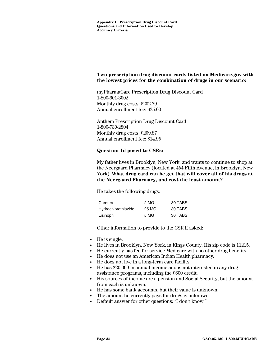myPharmaCare Prescription Drug Discount Card 1-800-601-3002 Monthly drug costs: \$202.79 Annual enrollment fee: \$25.00

Anthem Prescription Drug Discount Card 1-800-730-2804 Monthly drug costs: \$209.87 Annual enrollment fee: \$14.95

#### **Question 1d posed to CSRs:**

My father lives in Brooklyn, New York, and wants to continue to shop at the Neergaard Pharmacy (located at 454 Fifth Avenue, in Brooklyn, New York). **What drug card can he get that will cover all of his drugs at the Neergaard Pharmacy, and cost the least amount?**

He takes the following drugs:

| Cardura             | 2 MG  | 30 TABS |
|---------------------|-------|---------|
| Hydrochlorothiazide | 25 MG | 30 TABS |
| Lisinopril          | 5 MG  | 30 TABS |

- He is single.
- He lives in Brooklyn, New York, in Kings County. His zip code is 11215.
- He currently has fee-for-service Medicare with no other drug benefits.
- He does not use an American Indian Health pharmacy.
- He does not live in a long-term care facility.
- He has \$20,000 in annual income and is not interested in any drug assistance programs, including the \$600 credit.
- His sources of income are a pension and Social Security, but the amount from each is unknown.
- He has some bank accounts, but their value is unknown.
- The amount he currently pays for drugs is unknown.
- Default answer for other questions: "I don't know."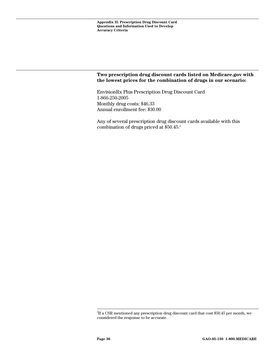EnvisionRx Plus Prescription Drug Discount Card 1-866-250-2005 Monthly drug costs: \$46.33 Annual enrollment fee: \$30.00

Any of several prescription drug discount cards available with this combination of drugs priced at \$50.45.<sup>[2](#page-40-0)</sup>

<span id="page-40-0"></span><sup>2&</sup>lt;br>2  ${}^{2}$ If a CSR mentioned any prescription drug discount card that cost \$50.45 per month, we considered the response to be accurate.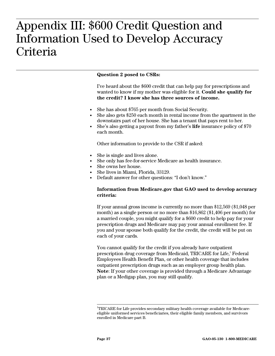## <span id="page-41-0"></span> $P_{\text{A}} \cap \overline{P_{\text{A}}}$  and  $\overline{P_{\text{B}}}$ **Information Used to Develop Accuracy**  Appendix III: \$600 Credit Question and Information Used to Develop Accuracy **Criteria**

#### **Question 2 posed to CSRs:**

I've heard about the \$600 credit that can help pay for prescriptions and wanted to know if my mother was eligible for it. **Could she qualify for the credit? I know she has three sources of income.** 

- She has about \$765 per month from Social Security.
- She also gets \$250 each month in rental income from the apartment in the downstairs part of her house. She has a tenant that pays rent to her.
- She's also getting a payout from my father's **life** insurance policy of \$70 each month.

Other information to provide to the CSR if asked:

- She is single and lives alone.
- She only has fee-for-service Medicare as health insurance.
- She owns her house.
- She lives in Miami, Florida, 33129.
- Default answer for other questions: "I don't know."

#### **Information from Medicare.gov that GAO used to develop accuracy criteria:**

If your annual gross income is currently no more than \$12,569 (\$1,048 per month) as a single person or no more than \$16,862 (\$1,406 per month) for a married couple, you might qualify for a \$600 credit to help pay for your prescription drugs and Medicare may pay your annual enrollment fee. If you and your spouse both qualify for the credit, the credit will be put on each of your cards.

You cannot qualify for the credit if you already have outpatient prescriptiondrug coverage from Medicaid, TRICARE for Life,<sup>1</sup> Federal Employees Health Benefit Plan, or other health coverage that includes outpatient prescription drugs such as an employer group health plan. **Note**: If your other coverage is provided through a Medicare Advantage plan or a Medigap plan, you may still qualify.

<span id="page-41-1"></span> $\frac{1}{1}$ TRICARE for Life provides secondary military health coverage available for Medicareeligible uniformed services beneficiaries, their eligible family members, and survivors enrolled in Medicare part B.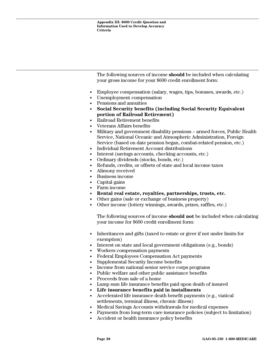The following sources of income **should** be included when calculating your gross income for your \$600 credit enrollment form:

- Employee compensation (salary, wages, tips, bonuses, awards, etc.)
- Unemployment compensation
- Pensions and annuities
- **Social Security benefits (including Social Security Equivalent portion of Railroad Retirement)**
- Railroad Retirement benefits
- Veterans Affairs benefits
- Military and government disability pensions armed forces, Public Health Service, National Oceanic and Atmospheric Administration, Foreign Service (based on date pension began, combat-related pension, etc.)
- Individual Retirement Account distributions
- Interest (savings accounts, checking accounts, etc.)
- Ordinary dividends (stocks, bonds, etc.)
- Refunds, credits, or offsets of state and local income taxes
- Alimony received
- Business income
- Capital gains
- Farm income
- **Rental real estate, royalties, partnerships, trusts, etc.**
- Other gains (sale or exchange of business property)
- Other income (lottery winnings, awards, prizes, raffles, etc.)

The following sources of income **should not** be included when calculating your income for \$600 credit enrollment form:

- Inheritances and gifts (taxed to estate or giver if not under limits for exemption)
- Interest on state and local government obligations (e.g., bonds)
- Workers compensation payments
- Federal Employees Compensation Act payments
- Supplemental Security Income benefits
- Income from national senior service corps programs
- Public welfare and other public assistance benefits
- Proceeds from sale of a home
- Lump sum life insurance benefits paid upon death of insured
- **Life insurance benefits paid in installments**
- Accelerated life insurance death benefit payments (e.g., viatical settlements, terminal illness, chronic illness)
- Medical Savings Accounts withdrawals for medical expenses
- Payments from long-term care insurance policies (subject to limitation)
- Accident or health insurance policy benefits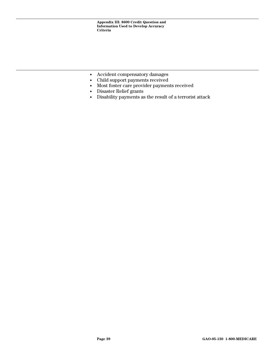- Accident compensatory damages
- Child support payments received
- Most foster care provider payments received
- Disaster Relief grants
- Disability payments as the result of a terrorist attack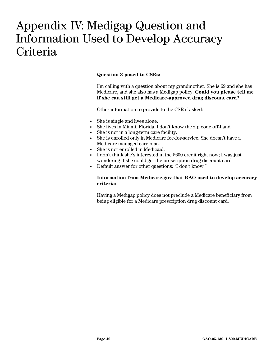## <span id="page-44-0"></span> $\overline{\mathbf{A}}$  **A Information Used to Develop Accuracy Criteria**  Appendix IV: Medigap Question and Information Used to Develop Accuracy **Criteria**

#### **Question 3 posed to CSRs:**

I'm calling with a question about my grandmother. She is 69 and she has Medicare, and she also has a Medigap policy. **Could you please tell me if she can still get a Medicare-approved drug discount card?** 

Other information to provide to the CSR if asked:

- She is single and lives alone.
- She lives in Miami, Florida. I don't know the zip code off-hand.
- She is not in a long-term care facility.
- She is enrolled only in Medicare fee-for-service. She doesn't have a Medicare managed care plan.
- She is not enrolled in Medicaid.
- I don't think she's interested in the \$600 credit right now; I was just wondering if she could get the prescription drug discount card.
- Default answer for other questions: "I don't know."

#### **Information from Medicare.gov that GAO used to develop accuracy criteria:**

Having a Medigap policy does not preclude a Medicare beneficiary from being eligible for a Medicare prescription drug discount card.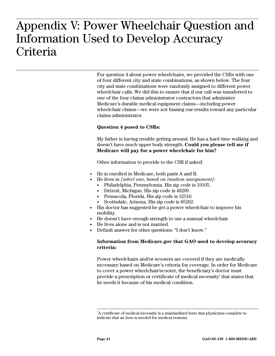## <span id="page-45-0"></span> $\frac{1}{2}$ **Wer wheelon Criteria**  Appendix V: Power Wheelchair Question and Information Used to Develop Accuracy **Criteria**

For question 4 about power wheelchairs, we provided the CSRs with one of four different city and state combinations, as shown below. The four city and state combinations were randomly assigned to different power wheelchair calls. We did this to ensure that if our call was transferred to one of the four claims administrator contractors that administer Medicare's durable medical equipment claims—including power wheelchair claims—we were not biasing our results toward any particular claims administrator.

#### **Question 4 posed to CSRs:**

My father is having trouble getting around. He has a hard time walking and doesn't have much upper body strength. **Could you please tell me if Medicare will pay for a power wheelchair for him?**

Other information to provide to the CSR if asked:

- He is enrolled in Medicare, both parts A and B.
- He lives in *[select one, based on random assignment]:*
- Philadelphia, Pennsylvania. His zip code is 19105.
	- Detroit, Michigan. His zip code is 48209.
	- Pensacola, Florida. His zip code is 32516.
	- Scottsdale, Arizona. His zip code is 85262.
- His doctor has suggested he get a power wheelchair to improve his mobility.
- He doesn't have enough strength to use a manual wheelchair.
- He lives alone and is not married.
- Default answer for other questions: "I don't know."

#### **Information from Medicare.gov that GAO used to develop accuracy criteria:**

Power wheelchairs and/or scooters are covered if they are medically necessary based on Medicare's criteria for coverage. In order for Medicare to cover a power wheelchair/scooter, the beneficiary's doctor must providea prescription or certificate of medical necessity<sup>1</sup> that states that he needs it because of his medical condition.

<span id="page-45-1"></span> $\frac{1}{1}$  ${}^{1}$ A certificate of medical necessity is a standardized form that physicians complete to indicate that an item is needed for medical reasons.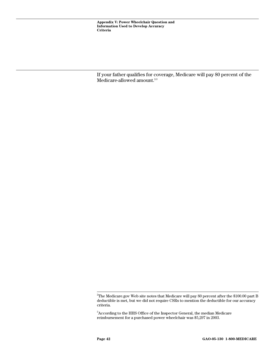If your father qualifies for coverage, Medicare will pay 80 percent of the Medicare-allowed amount.<sup>[2,](#page-46-0)[3](#page-46-1)</sup>

<span id="page-46-0"></span> $\frac{1}{2}$ <sup>2</sup>The Medicare.gov Web site notes that Medicare will pay 80 percent after the \$100.00 part B deductible is met, but we did not require CSRs to mention the deductible for our accuracy criteria.

<span id="page-46-1"></span> $3$ According to the HHS Office of the Inspector General, the median Medicare reimbursement for a purchased power wheelchair was \$5,297 in 2003.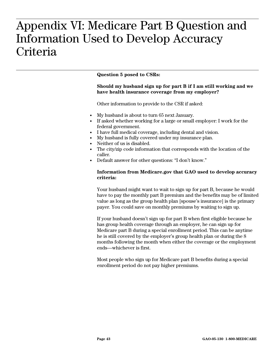## <span id="page-47-0"></span> $\mathbf{A}$ :  $\mathbf{A}$   $\mathbf{A}$   $\mathbf{A}$   $\mathbf{A}$   $\mathbf{A}$   $\mathbf{A}$   $\mathbf{A}$   $\mathbf{A}$   $\mathbf{A}$   $\mathbf{A}$   $\mathbf{A}$ **Information Used to Develop Accuracy Criteria**  Appendix VI: Medicare Part B Question and Information Used to Develop Accuracy **Criteria**

#### **Question 5 posed to CSRs:**

#### **Should my husband sign up for part B if I am still working and we have health insurance coverage from my employer?**

Other information to provide to the CSR if asked:

- My husband is about to turn 65 next January.
- If asked whether working for a large or small employer: I work for the federal government.
- I have full medical coverage, including dental and vision.
- My husband is fully covered under my insurance plan.
- Neither of us is disabled.
- The city/zip code information that corresponds with the location of the caller.
- Default answer for other questions: "I don't know."

#### **Information from Medicare.gov that GAO used to develop accuracy criteria:**

Your husband might want to wait to sign up for part B, because he would have to pay the monthly part B premium and the benefits may be of limited value as long as the group health plan [spouse's insurance] is the primary payer. You could save on monthly premiums by waiting to sign up.

If your husband doesn't sign up for part B when first eligible because he has group health coverage through an employer, he can sign up for Medicare part B during a special enrollment period. This can be anytime he is still covered by the employer's group health plan or during the 8 months following the month when either the coverage or the employment ends—whichever is first.

Most people who sign up for Medicare part B benefits during a special enrollment period do not pay higher premiums.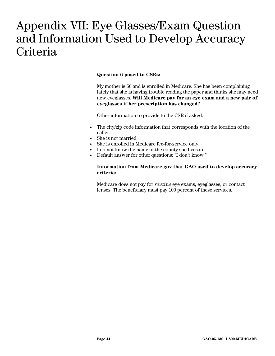## <span id="page-48-0"></span>**A Information Used to Develop Accuracy Criteria**  Appendix VII: Eye Glasses/Exam Question and Information Used to Develop Accuracy **Criteria**

#### **Question 6 posed to CSRs:**

My mother is 66 and is enrolled in Medicare. She has been complaining lately that she is having trouble reading the paper and thinks she may need new eyeglasses. **Will Medicare pay for an eye exam and a new pair of eyeglasses if her prescription has changed?**

Other information to provide to the CSR if asked:

- The city/zip code information that corresponds with the location of the caller.
- She is not married.
- She is enrolled in Medicare fee-for-service only.
- I do not know the name of the county she lives in.
- Default answer for other questions: "I don't know."

#### **Information from Medicare.gov that GAO used to develop accuracy criteria:**

Medicare does not pay for *routine* eye exams, eyeglasses, or contact lenses. The beneficiary must pay 100 percent of these services.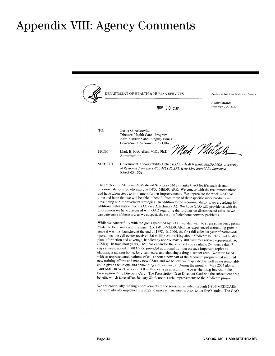## <span id="page-49-0"></span>**Appendix VIII: Agency Comments**  Appendix VIII: Agency Comments

DEPARTMENT OF HEALTH & HUMAN SERVICES Centers for Medicare & Medicaid Servic Administrator Washington, DC 20201 NOV 3 0 2004 TO: Leslie G. Aronovitz Director, Health Care - Program Administration and Integrity Issues Government Accountability Office Nad *Vl*uGA FROM: Mark B. McClellan, M.D., Ph.D. Administrator Government Accountability Office (GAO) Draft Report: MEDICARE: Accuracy SUBJECT: of Response from the 1-800-MEDICARE Help Line Should Be Improved,  $(GAO-05-130)$ The Centers for Medicare & Medicaid Services (CMS) thanks GAO for it's analysis and recommendations to help improve 1-800-MEDICARE. We concur with the recommendations and have taken steps to implement further improvements. We appreciate the work GAO has done and hope that we will be able to benefit from more of their specific work products in developing our improvement strategies. In addition to the recommendations, we are asking for additional information from GAO (see Attachment A). We hope GAO will provide us with the information we have discussed with GAO regarding the findings on disconnected calls, so we can determine if these are, as we suspect, the result of telephone network problems. While we concur fully with the goals specified by GAO, we also want to stress some basic points related to their work and findings. The 1-800-MEDICARE has experienced astounding growth since it was first launched at the end of 1998. In 2000, the first full calendar year of nationwide operations, the call center received 3.6 million calls asking about Medicare benefits, and health plan information and coverage, handled by approximately 300 customer service representatives (CSRs). In four short years, CMS has expanded the service to be available 24 hours a day, 7 days a week, added 3,000 CSRs, provided additional training on such important topics as choosing a nursing home, long-term care, and choosing a drug discount card. We were faced with an unprecedented volume of calls about a new part of the Medicare program that required new training efforts and many new CSRs, and we believe we responded as well as we reasonably could given the unique and demanding circumstances. During the month of May 2004 alone, 1-800-MEDICARE received 3.8 million calls as a result of the overwhelming interest in the Prescription Drug Discount Card. The Prescription Drug Discount Card and the subsequent drug benefit, which takes effect January 2006, are historic improvements to the Medicare program. We are continually making improvements to the services provided through 1-800-MEDICARE and were already implementing steps to make enhancements prior to the GAO study. The GAO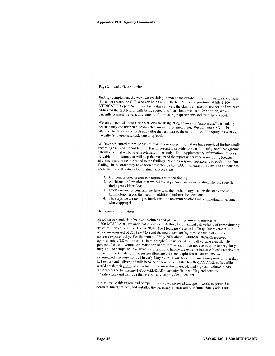| Page 2 – Leslie G. Aronovitz                                                                                                                                                                                                                                                                                                                                                                                                                                                                                                                                                                                                                                                                                                                                                                                                                                                                                                                                                                                                                                                                                                                                                                                                                                                                                 |
|--------------------------------------------------------------------------------------------------------------------------------------------------------------------------------------------------------------------------------------------------------------------------------------------------------------------------------------------------------------------------------------------------------------------------------------------------------------------------------------------------------------------------------------------------------------------------------------------------------------------------------------------------------------------------------------------------------------------------------------------------------------------------------------------------------------------------------------------------------------------------------------------------------------------------------------------------------------------------------------------------------------------------------------------------------------------------------------------------------------------------------------------------------------------------------------------------------------------------------------------------------------------------------------------------------------|
| findings complement the work we are doing to reduce the number of agent transfers and ensure<br>that callers reach the CSR who can help them with their Medicare question. While 1-800-<br>MEDICARE is open 24 hours a day, 7 days a week, the claims contractors are not, and we have<br>addressed the problem of calls being routed to offices that are closed. In addition, we are<br>currently reassessing various elements of our testing requirements and training protocol.                                                                                                                                                                                                                                                                                                                                                                                                                                                                                                                                                                                                                                                                                                                                                                                                                           |
| We are concerned about GAO's criteria for designating answers as "inaccurate," particularly<br>because they consider an "incomplete" answer to be inaccurate. We train our CSRs to be<br>attentive to the caller's needs and tailor the response to the caller's specific inquiry, as well as,<br>the caller's interest and understanding level.                                                                                                                                                                                                                                                                                                                                                                                                                                                                                                                                                                                                                                                                                                                                                                                                                                                                                                                                                             |
| We have structured our responses to make these key points, and we have provided further details<br>regarding the GAO report below. It is important to provide some additional general background<br>information that we believe is relevant to the study. This supplementary information provides<br>valuable information that will help the readers of the report understand some of the broader<br>circumstances that contributed to the findings. We then respond specifically to each of the four<br>findings in the order they have been presented by the GAO. For ease of review, our response to<br>each finding will address four distinct subject areas:                                                                                                                                                                                                                                                                                                                                                                                                                                                                                                                                                                                                                                            |
| 1. Our concurrence or non-concurrence with the finding;<br>2. Additional information that we believe is pertinent in understanding why the specific<br>finding was identified:<br>3. Questions and/or concerns we have with the methodology used in the study including<br>terminology issues, the need for additional information, etc.; and<br>4. The steps we are taking to implement the recommendations made including timeframes<br>where appropriate.                                                                                                                                                                                                                                                                                                                                                                                                                                                                                                                                                                                                                                                                                                                                                                                                                                                 |
| <b>Background Information</b>                                                                                                                                                                                                                                                                                                                                                                                                                                                                                                                                                                                                                                                                                                                                                                                                                                                                                                                                                                                                                                                                                                                                                                                                                                                                                |
| Based on our analysis of past call volumes and planned programmatic impacts to<br>1-800-MEDICARE, we anticipated and were staffing for an annual call volume of approximately<br>seven million calls in Fiscal Year 2004. The Medicare Prescription Drug, Improvement, and<br>Modernization Act of 2003 (MMA) and the news surrounding it caused the call volume to<br>increase exponentially. For the month of May 2004 alone, 1-800-MEDICARE received<br>approximately 3.8 million calls. In this single 30-day period, our call volume exceeded 50<br>percent of the call volume estimated for an entire year and it was not even during our regularly<br>busy Fall ad campaign. We were not prepared to handle the extreme increase in calls received as<br>a result of the legislation. To further illustrate the sheer explosion in call volume we<br>experienced, we were notified in early May by MCI, our telecommunications provider, that they<br>had to suspend delivery of calls because of concerns that the 1-800-MEDICARE calls traffic<br>would crash their entire voice network. To meet the unprecedented high call volume, CMS<br>rapidly worked to increase 1-800-MEDICARE capacity (both staffing and network<br>infrastructure) and improve the level of service provided to callers. |
| In response to this urgent and compelling need, we prepared a scope of work, negotiated a<br>contract, hired, trained, and installed the necessary infrastructure to immediately add 1,000                                                                                                                                                                                                                                                                                                                                                                                                                                                                                                                                                                                                                                                                                                                                                                                                                                                                                                                                                                                                                                                                                                                   |
|                                                                                                                                                                                                                                                                                                                                                                                                                                                                                                                                                                                                                                                                                                                                                                                                                                                                                                                                                                                                                                                                                                                                                                                                                                                                                                              |
|                                                                                                                                                                                                                                                                                                                                                                                                                                                                                                                                                                                                                                                                                                                                                                                                                                                                                                                                                                                                                                                                                                                                                                                                                                                                                                              |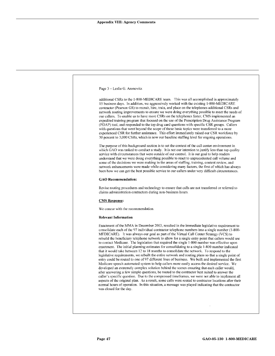| Page 3 – Leslie G. Aronovitz                                                                                                                                                                                                                                                                                                                                                                                                                                                                                                                                                                                                                                                                                                                                                                                                                                                                                                                                                                                                                                                                                                                                                                                                                                                                                                                                                                                                                                                                                                                         |
|------------------------------------------------------------------------------------------------------------------------------------------------------------------------------------------------------------------------------------------------------------------------------------------------------------------------------------------------------------------------------------------------------------------------------------------------------------------------------------------------------------------------------------------------------------------------------------------------------------------------------------------------------------------------------------------------------------------------------------------------------------------------------------------------------------------------------------------------------------------------------------------------------------------------------------------------------------------------------------------------------------------------------------------------------------------------------------------------------------------------------------------------------------------------------------------------------------------------------------------------------------------------------------------------------------------------------------------------------------------------------------------------------------------------------------------------------------------------------------------------------------------------------------------------------|
|                                                                                                                                                                                                                                                                                                                                                                                                                                                                                                                                                                                                                                                                                                                                                                                                                                                                                                                                                                                                                                                                                                                                                                                                                                                                                                                                                                                                                                                                                                                                                      |
| additional CSRs to the 1-800-MEDICARE team. This was all accomplished in approximately<br>15 business days. In addition, we aggressively worked with the existing 1-800-MEDICARE<br>contractor (Pearson GS) to recruit, hire, train, and place on the telephones additional CSRs and<br>network routing improvements to ensure we were doing everything possible to meet the needs of<br>our callers. To enable us to have more CSRs on the telephones faster, CMS implemented an<br>expedited training program that focused on the use of the Prescription Drug Assistance Program<br>(PDAP) tool, and responded to the top drug card questions with specific CSR groups. Callers<br>with questions that went beyond the scope of these basic topics were transferred to a more<br>experienced CSR for further assistance. This effort immediately raised our CSR workforce by<br>30 percent to 3,000 CSRs, which is now our baseline staffing level for ongoing operations.                                                                                                                                                                                                                                                                                                                                                                                                                                                                                                                                                                        |
| The purpose of this background section is to set the context of the call center environment in<br>which GAO was tasked to conduct a study. It is not our intention to justify less than top quality<br>service with circumstances that were outside of our control. It is our goal to help readers<br>understand that we were doing everything possible to react to unprecedented call volume and<br>some of the decisions we were making in the areas of staffing, training, content review, and<br>network enhancements were made while considering many factors, the first of which has always<br>been how we can get the best possible service to our callers under very difficult circumstances.                                                                                                                                                                                                                                                                                                                                                                                                                                                                                                                                                                                                                                                                                                                                                                                                                                                |
| <b>GAO Recommendation:</b>                                                                                                                                                                                                                                                                                                                                                                                                                                                                                                                                                                                                                                                                                                                                                                                                                                                                                                                                                                                                                                                                                                                                                                                                                                                                                                                                                                                                                                                                                                                           |
| Revise routing procedures and technology to ensure that calls are not transferred or referred to<br>claims administration contractors during non-business hours.                                                                                                                                                                                                                                                                                                                                                                                                                                                                                                                                                                                                                                                                                                                                                                                                                                                                                                                                                                                                                                                                                                                                                                                                                                                                                                                                                                                     |
| <b>CMS Response:</b>                                                                                                                                                                                                                                                                                                                                                                                                                                                                                                                                                                                                                                                                                                                                                                                                                                                                                                                                                                                                                                                                                                                                                                                                                                                                                                                                                                                                                                                                                                                                 |
| We concur with the recommendation.                                                                                                                                                                                                                                                                                                                                                                                                                                                                                                                                                                                                                                                                                                                                                                                                                                                                                                                                                                                                                                                                                                                                                                                                                                                                                                                                                                                                                                                                                                                   |
| <b>Relevant Information</b>                                                                                                                                                                                                                                                                                                                                                                                                                                                                                                                                                                                                                                                                                                                                                                                                                                                                                                                                                                                                                                                                                                                                                                                                                                                                                                                                                                                                                                                                                                                          |
| Enactment of the MMA in December 2003, resulted in the immediate legislative requirement to<br>consolidate each of the 97 individual contractor telephone numbers into a single number (1-800-<br>MEDICARE). It was always our goal as part of the Virtual Call Center Strategy (VCS) to<br>rebuild the beneficiary telephone network to allow for a single entry point that callers would use<br>to contact Medicare. The legislation that required the single 1-800 number was effective upon<br>enactment. The initial planning estimates for consolidating to a single 1-800 number indicated<br>that it would take between 12 to 18 months to consolidate the network. To respond to the<br>legislative requirements, we rebuilt the entire network and routing plans so that a single point of<br>entry could be routed to one of 97 different lines of business. We built and implemented the first<br>Medicare speech automated system to help callers more easily access the desired service. We<br>developed an extremely complex solution behind the scenes ensuring that each caller would,<br>after answering a few simple questions, be routed to the contractor best suited to answer the<br>caller's specific question. Due to the compressed timeframes, we were not able to implement all<br>aspects of the original plan. As a result, some calls were routed to contractor locations after their<br>normal hours of operation. In this situation, a message was played indicating that the contractor<br>was closed for the day. |
|                                                                                                                                                                                                                                                                                                                                                                                                                                                                                                                                                                                                                                                                                                                                                                                                                                                                                                                                                                                                                                                                                                                                                                                                                                                                                                                                                                                                                                                                                                                                                      |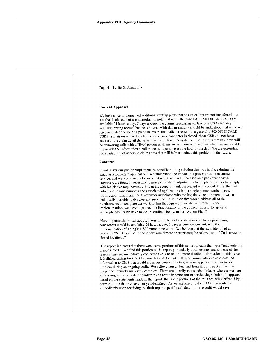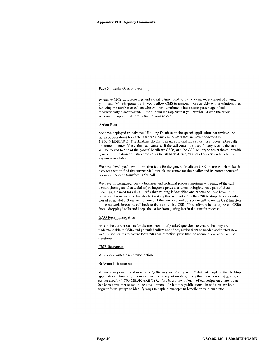| Page 5 - Leslie G. Aronovitz                                                                                                                                                                                                                                                                                                                                                                                                                                                                                                                                                                                                                                                                     |  |
|--------------------------------------------------------------------------------------------------------------------------------------------------------------------------------------------------------------------------------------------------------------------------------------------------------------------------------------------------------------------------------------------------------------------------------------------------------------------------------------------------------------------------------------------------------------------------------------------------------------------------------------------------------------------------------------------------|--|
| extensive CMS staff resources and valuable time locating the problem independent of having<br>your data. More importantly, it would allow CMS to respond more quickly with a solution, thus,<br>reducing the number of callers who will now continue to have some percentage of calls<br>"inadvertently disconnected." It is our sincere request that you provide us with the crucial<br>information upon final completion of your report.                                                                                                                                                                                                                                                       |  |
| <b>Action Plan</b>                                                                                                                                                                                                                                                                                                                                                                                                                                                                                                                                                                                                                                                                               |  |
| We have deployed an Advanced Routing Database in the speech application that reviews the<br>hours of operations for each of the 97 claims call centers that are now connected to<br>1-800-MEDICARE. The database checks to make sure that the call center is open before calls<br>are routed to one of the claims call centers. If the call center is closed for any reason, the call<br>will be routed to one of the general Medicare CSRs, and the CSR will try to assist the caller with<br>general information or instruct the caller to call back during business hours when the claims<br>system is available.                                                                             |  |
| We have developed new information tools for the general Medicare CSRs to use which makes it<br>easy for them to find the correct Medicare claims center for their caller and its correct hours of<br>operation, prior to transferring the call.                                                                                                                                                                                                                                                                                                                                                                                                                                                  |  |
| We have implemented weekly business and technical process meetings with each of the call<br>centers (both general and claims) to improve process and technologies. As a part of these<br>meetings, the need for all CSR refresher training is identified and scheduled. We have built<br>fails afe software into the transfer technology that will not allow the CSR to drop the caller into<br>closed or invalid call center's queues. If the queue cannot accept the call when the CSR transfers<br>it, the network forces the call back to the transferring CSR. This software helps to prevent CSRs<br>from "dropping" calls and keeps the caller from getting lost in the transfer process. |  |
| <b>GAO</b> Recommendation:                                                                                                                                                                                                                                                                                                                                                                                                                                                                                                                                                                                                                                                                       |  |
| Assess the current scripts for the most commonly asked questions to ensure that they are<br>understandable to CSRs and potential callers and if not, revise them as needed and pretest new<br>and revised scripts to ensure that CSRs can effectively use them to accurately answer callers'<br>questions.                                                                                                                                                                                                                                                                                                                                                                                       |  |
| <b>CMS</b> Response:                                                                                                                                                                                                                                                                                                                                                                                                                                                                                                                                                                                                                                                                             |  |
| We concur with the recommendation.                                                                                                                                                                                                                                                                                                                                                                                                                                                                                                                                                                                                                                                               |  |
| <b>Relevant Information</b>                                                                                                                                                                                                                                                                                                                                                                                                                                                                                                                                                                                                                                                                      |  |
| We are always interested in improving the way we develop and implement scripts in the Desktop<br>application. However, it is inaccurate, as the report implies, to say that there is no testing of the<br>scripts used by 1-800-MEDICARE CSRs. We based the majority of our scripts on content that<br>has been consumer tested in the development of Medicare publications. In addition, we hold<br>regular focus groups to identify ways to explain concepts to beneficiaries in our static                                                                                                                                                                                                    |  |
|                                                                                                                                                                                                                                                                                                                                                                                                                                                                                                                                                                                                                                                                                                  |  |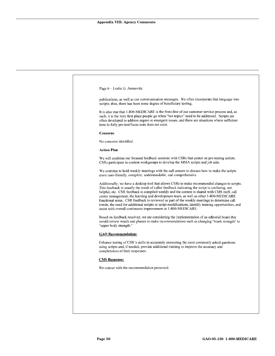| publications, as well as our communication messages. We often incorporate that language into<br>scripts; thus, there has been some degree of beneficiary testing.<br>It is also true that 1-800-MEDICARE is the front-line of our customer service process and, as<br>such, it is the very first place people go when "hot topics" need to be addressed. Scripts are<br>often developed to address urgent or emergent issues, and there are situations where sufficient<br>time to fully pre-test/focus tests does not exist.<br>Concerns<br>No concerns identified.<br><b>Action Plan</b><br>We will continue our focused feedback sessions with CSRs that center on pre-testing scripts.<br>CSRs participate in content workgroups to develop the MMA scripts and job aids. |  |
|-------------------------------------------------------------------------------------------------------------------------------------------------------------------------------------------------------------------------------------------------------------------------------------------------------------------------------------------------------------------------------------------------------------------------------------------------------------------------------------------------------------------------------------------------------------------------------------------------------------------------------------------------------------------------------------------------------------------------------------------------------------------------------|--|
|                                                                                                                                                                                                                                                                                                                                                                                                                                                                                                                                                                                                                                                                                                                                                                               |  |
|                                                                                                                                                                                                                                                                                                                                                                                                                                                                                                                                                                                                                                                                                                                                                                               |  |
|                                                                                                                                                                                                                                                                                                                                                                                                                                                                                                                                                                                                                                                                                                                                                                               |  |
|                                                                                                                                                                                                                                                                                                                                                                                                                                                                                                                                                                                                                                                                                                                                                                               |  |
|                                                                                                                                                                                                                                                                                                                                                                                                                                                                                                                                                                                                                                                                                                                                                                               |  |
|                                                                                                                                                                                                                                                                                                                                                                                                                                                                                                                                                                                                                                                                                                                                                                               |  |
| We continue to hold weekly meetings with the call centers to discuss how to make the scripts<br>more user-friendly, complete, understandable, and comprehensive.                                                                                                                                                                                                                                                                                                                                                                                                                                                                                                                                                                                                              |  |
| Additionally, we have a desktop tool that allows CSRs to make recommended changes to scripts.<br>This feedback is usually the result of caller feedback indicating the script is confusing, not<br>helpful, etc. CSR feedback is compiled weekly and the content is shared with CMS staff, call<br>center management, the learning and development team, as well as other 1-800-MEDICARE<br>functional areas. CSR feedback is reviewed as part of the weekly meetings to determine call<br>trends, the need for additional scripts or script modifications, identify training opportunities, and<br>assist with overall continuous improvement at 1-800-MEDICARE.                                                                                                             |  |
| Based on feedback received, we are considering the implementation of an editorial board that<br>would review words and phases to make recommendations such as changing "trunk strength" to<br>"upper body strength."                                                                                                                                                                                                                                                                                                                                                                                                                                                                                                                                                          |  |
| <b>GAO</b> Recommendation:                                                                                                                                                                                                                                                                                                                                                                                                                                                                                                                                                                                                                                                                                                                                                    |  |
| Enhance testing of CSR's skills in accurately answering the most commonly asked questions<br>using scripts and, if needed, provide additional training to improve the accuracy and<br>completeness of their responses.                                                                                                                                                                                                                                                                                                                                                                                                                                                                                                                                                        |  |
| <b>CMS</b> Response:                                                                                                                                                                                                                                                                                                                                                                                                                                                                                                                                                                                                                                                                                                                                                          |  |
| We concur with the recommendation presented.                                                                                                                                                                                                                                                                                                                                                                                                                                                                                                                                                                                                                                                                                                                                  |  |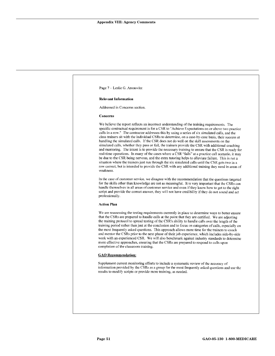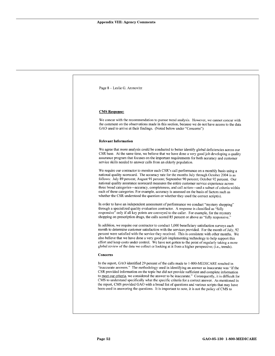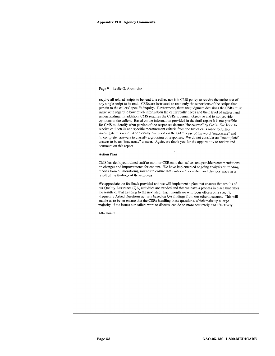| Page 9 - Leslie G. Aronovitz                                                                                                                                                                                                                                                                                                                                                                                                                                                                                                                                                                                                                                                                                        |
|---------------------------------------------------------------------------------------------------------------------------------------------------------------------------------------------------------------------------------------------------------------------------------------------------------------------------------------------------------------------------------------------------------------------------------------------------------------------------------------------------------------------------------------------------------------------------------------------------------------------------------------------------------------------------------------------------------------------|
| require all related scripts to be read to a caller, nor is it CMS policy to require the entire text of<br>any single script to be read. CSRs are instructed to read only those portions of the scripts that<br>pertain to the callers' specific inquiry. Furthermore, there are judgment decisions the CSRs must<br>make with regard to how much information the caller really needs and their level of interest and                                                                                                                                                                                                                                                                                                |
| understanding. In addition, CMS requires the CSRs to remain objective and to not provide<br>opinions to the callers. Based on the information provided in the draft report it is not possible<br>for CMS to identify what portion of the responses deemed "inaccurate" by GAO. We hope to<br>receive call details and specific measurement criteria from the list of calls made to further<br>investigate this issue. Additionally, we question the GAO's use of the word "inaccurate" and<br>"incomplete" answers to classify a grouping of responses. We do not consider an "incomplete"<br>answer to be an "inaccurate" answer. Again, we thank you for the opportunity to review and<br>comment on this report. |
| <b>Action Plan</b>                                                                                                                                                                                                                                                                                                                                                                                                                                                                                                                                                                                                                                                                                                  |
| CMS has deployed trained staff to monitor CSR calls themselves and provide recommendations<br>on changes and improvements for content. We have implemented ongoing analysis of trending<br>reports from all monitoring sources to ensure that issues are identified and changes made as a<br>result of the findings of these groups.                                                                                                                                                                                                                                                                                                                                                                                |
| We appreciate the feedback provided and we will implement a plan that ensures that results of<br>our Quality Assurance (QA) activities are trended and that we have a process in place that takes<br>the results of that trending to the next step. Each month we will focus efforts on a specific<br>Frequently Asked Questions activity based on QA findings from our other measures. This will<br>enable us to better ensure that the CSRs handling these questions, which make up a large<br>majority of the issues our callers want to discuss, can do so more accurately and effectively.                                                                                                                     |
| Attachment                                                                                                                                                                                                                                                                                                                                                                                                                                                                                                                                                                                                                                                                                                          |
|                                                                                                                                                                                                                                                                                                                                                                                                                                                                                                                                                                                                                                                                                                                     |
|                                                                                                                                                                                                                                                                                                                                                                                                                                                                                                                                                                                                                                                                                                                     |
|                                                                                                                                                                                                                                                                                                                                                                                                                                                                                                                                                                                                                                                                                                                     |
|                                                                                                                                                                                                                                                                                                                                                                                                                                                                                                                                                                                                                                                                                                                     |
|                                                                                                                                                                                                                                                                                                                                                                                                                                                                                                                                                                                                                                                                                                                     |
|                                                                                                                                                                                                                                                                                                                                                                                                                                                                                                                                                                                                                                                                                                                     |
|                                                                                                                                                                                                                                                                                                                                                                                                                                                                                                                                                                                                                                                                                                                     |
|                                                                                                                                                                                                                                                                                                                                                                                                                                                                                                                                                                                                                                                                                                                     |
|                                                                                                                                                                                                                                                                                                                                                                                                                                                                                                                                                                                                                                                                                                                     |
|                                                                                                                                                                                                                                                                                                                                                                                                                                                                                                                                                                                                                                                                                                                     |
|                                                                                                                                                                                                                                                                                                                                                                                                                                                                                                                                                                                                                                                                                                                     |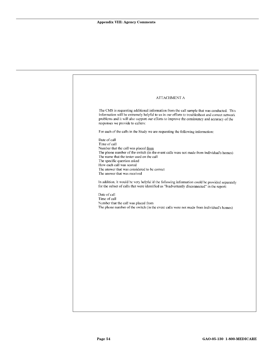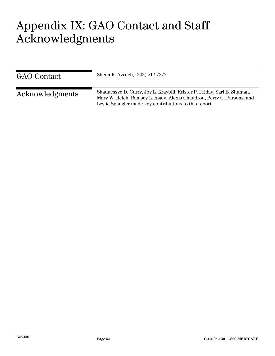#### <span id="page-59-0"></span> $\Lambda \cap \Gamma$ **Acknowledgments**  Appendix IX: GAO Contact and Staff Acknowledgments

<span id="page-59-2"></span><span id="page-59-1"></span>

| <b>GAO</b> Contact | Sheila K. Avruch, (202) 512-7277                                                                                                                                                                             |
|--------------------|--------------------------------------------------------------------------------------------------------------------------------------------------------------------------------------------------------------|
| Acknowledgments    | Shaunessye D. Curry, Joy L. Kraybill, Krister P. Friday, Sari B. Shuman,<br>Mary W. Reich, Ramsey L. Asaly, Alexis Chaudron, Perry G. Parsons, and<br>Leslie Spangler made key contributions to this report. |